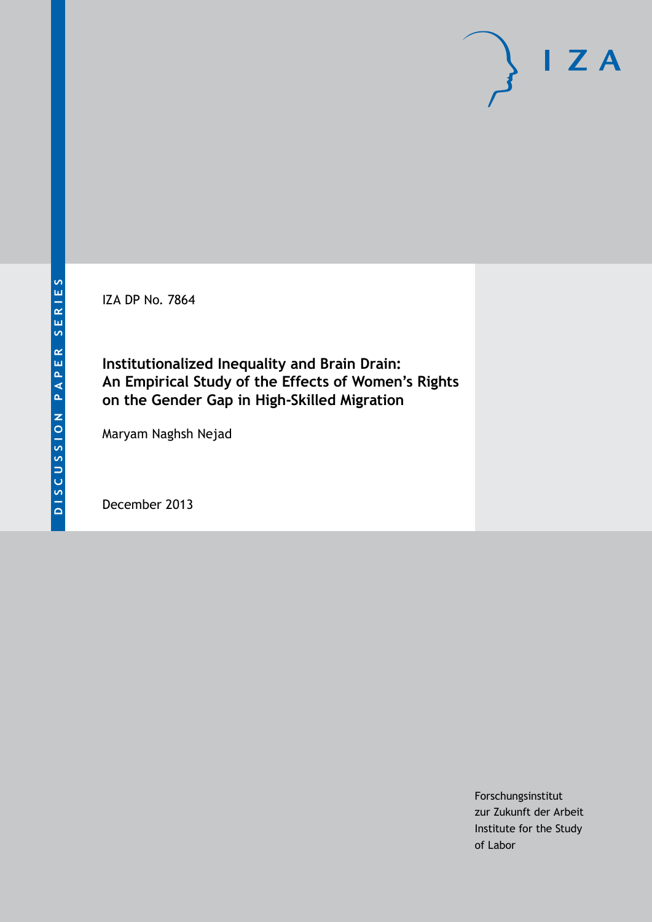IZA DP No. 7864

**Institutionalized Inequality and Brain Drain: An Empirical Study of the Effects of Women's Rights on the Gender Gap in High-Skilled Migration**

Maryam Naghsh Nejad

December 2013

Forschungsinstitut zur Zukunft der Arbeit Institute for the Study of Labor

 $I Z A$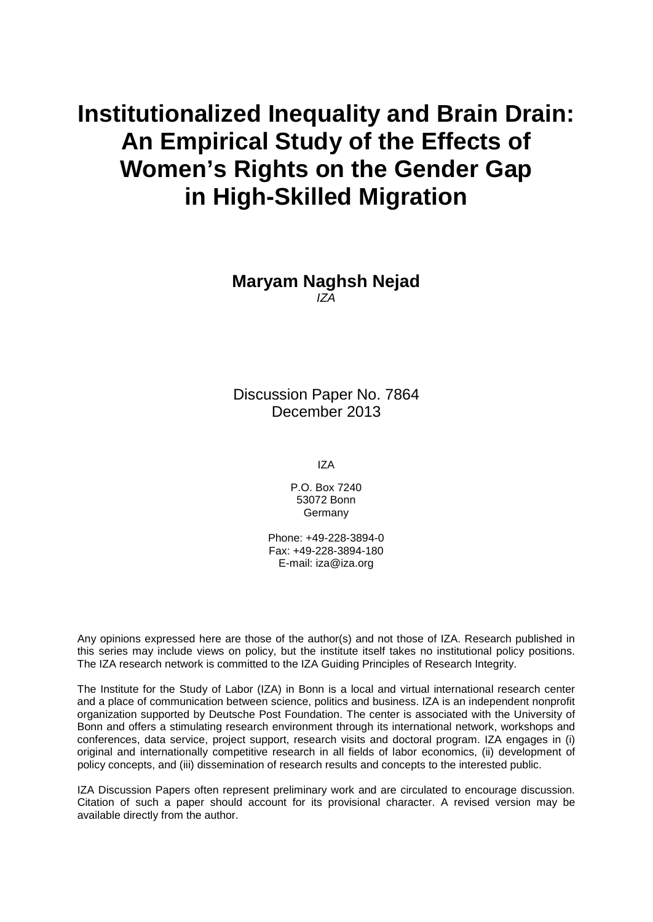# **Institutionalized Inequality and Brain Drain: An Empirical Study of the Effects of Women's Rights on the Gender Gap in High-Skilled Migration**

**Maryam Naghsh Nejad** *IZA*

Discussion Paper No. 7864 December 2013

IZA

P.O. Box 7240 53072 Bonn Germany

Phone: +49-228-3894-0 Fax: +49-228-3894-180 E-mail: [iza@iza.org](mailto:iza@iza.org)

Any opinions expressed here are those of the author(s) and not those of IZA. Research published in this series may include views on policy, but the institute itself takes no institutional policy positions. The IZA research network is committed to the IZA Guiding Principles of Research Integrity.

The Institute for the Study of Labor (IZA) in Bonn is a local and virtual international research center and a place of communication between science, politics and business. IZA is an independent nonprofit organization supported by Deutsche Post Foundation. The center is associated with the University of Bonn and offers a stimulating research environment through its international network, workshops and conferences, data service, project support, research visits and doctoral program. IZA engages in (i) original and internationally competitive research in all fields of labor economics, (ii) development of policy concepts, and (iii) dissemination of research results and concepts to the interested public.

<span id="page-1-0"></span>IZA Discussion Papers often represent preliminary work and are circulated to encourage discussion. Citation of such a paper should account for its provisional character. A revised version may be available directly from the author.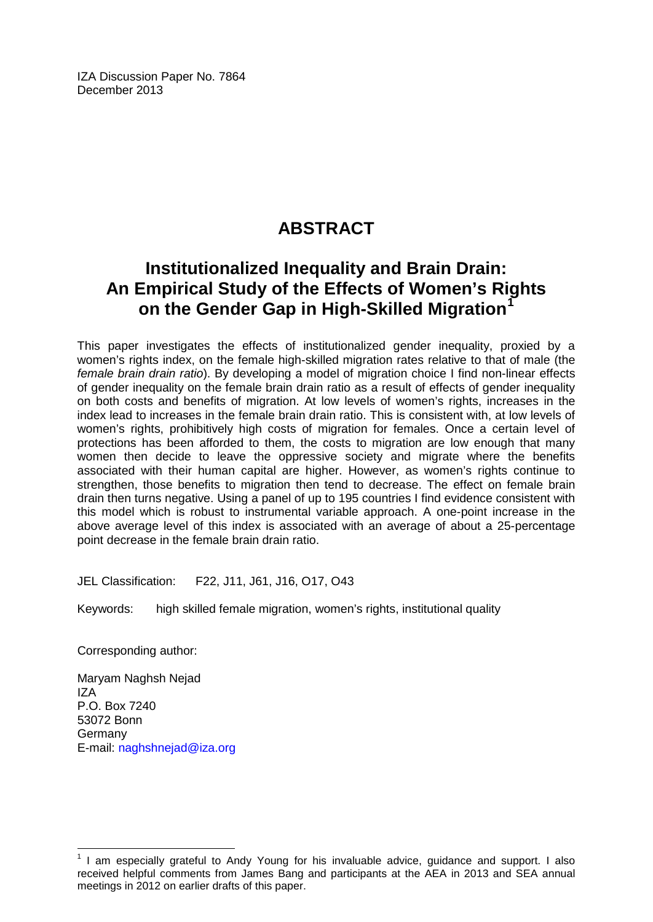IZA Discussion Paper No. 7864 December 2013

# **ABSTRACT**

# **Institutionalized Inequality and Brain Drain: An Empirical Study of the Effects of Women's Rights on the Gender Gap in High-Skilled Migration[1](#page-1-0)**

This paper investigates the effects of institutionalized gender inequality, proxied by a women's rights index, on the female high-skilled migration rates relative to that of male (the *female brain drain ratio*). By developing a model of migration choice I find non-linear effects of gender inequality on the female brain drain ratio as a result of effects of gender inequality on both costs and benefits of migration. At low levels of women's rights, increases in the index lead to increases in the female brain drain ratio. This is consistent with, at low levels of women's rights, prohibitively high costs of migration for females. Once a certain level of protections has been afforded to them, the costs to migration are low enough that many women then decide to leave the oppressive society and migrate where the benefits associated with their human capital are higher. However, as women's rights continue to strengthen, those benefits to migration then tend to decrease. The effect on female brain drain then turns negative. Using a panel of up to 195 countries I find evidence consistent with this model which is robust to instrumental variable approach. A one-point increase in the above average level of this index is associated with an average of about a 25-percentage point decrease in the female brain drain ratio.

JEL Classification: F22, J11, J61, J16, O17, O43

Keywords: high skilled female migration, women's rights, institutional quality

Corresponding author:

Maryam Naghsh Nejad IZA P.O. Box 7240 53072 Bonn Germany E-mail: [naghshnejad@iza.org](mailto:naghshnejad@iza.org)

 $<sup>1</sup>$  I am especially grateful to Andy Young for his invaluable advice, guidance and support. I also</sup> received helpful comments from James Bang and participants at the AEA in 2013 and SEA annual meetings in 2012 on earlier drafts of this paper.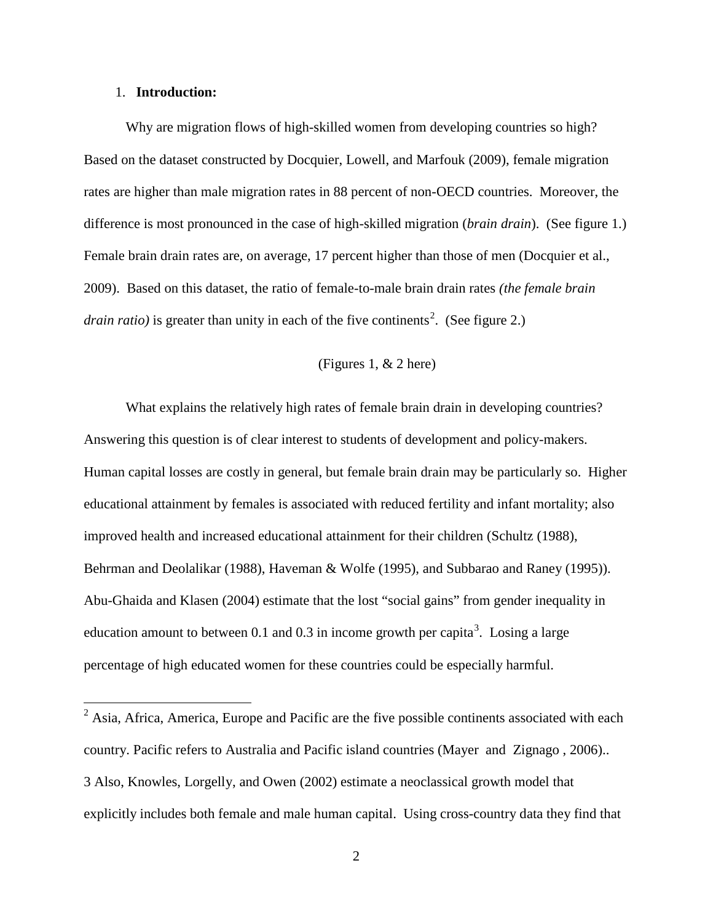## 1. **Introduction:**

Why are migration flows of high-skilled women from developing countries so high? Based on the dataset constructed by Docquier, Lowell, and Marfouk (2009), female migration rates are higher than male migration rates in 88 percent of non-OECD countries. Moreover, the difference is most pronounced in the case of high-skilled migration (*brain drain*). (See figure 1.) Female brain drain rates are, on average, 17 percent higher than those of men (Docquier et al., 2009). Based on this dataset, the ratio of female-to-male brain drain rates *(the female brain drain ratio*) is greater than unity in each of the five continents<sup>2</sup>. (See figure 2.)

# (Figures 1, & 2 here)

What explains the relatively high rates of female brain drain in developing countries? Answering this question is of clear interest to students of development and policy-makers. Human capital losses are costly in general, but female brain drain may be particularly so. Higher educational attainment by females is associated with reduced fertility and infant mortality; also improved health and increased educational attainment for their children (Schultz (1988), Behrman and Deolalikar (1988), Haveman & Wolfe (1995), and Subbarao and Raney (1995)). Abu-Ghaida and Klasen (2004) estimate that the lost "social gains" from gender inequality in education amount to between 0.1 and 0.[3](#page-3-0) in income growth per capita<sup>3</sup>. Losing a large percentage of high educated women for these countries could be especially harmful.

<span id="page-3-0"></span><sup>&</sup>lt;sup>2</sup> Asia, Africa, America, Europe and Pacific are the five possible continents associated with each country. Pacific refers to Australia and Pacific island countries (Mayer and Zignago , 2006).. 3 Also, Knowles, Lorgelly, and Owen (2002) estimate a neoclassical growth model that explicitly includes both female and male human capital. Using cross-country data they find that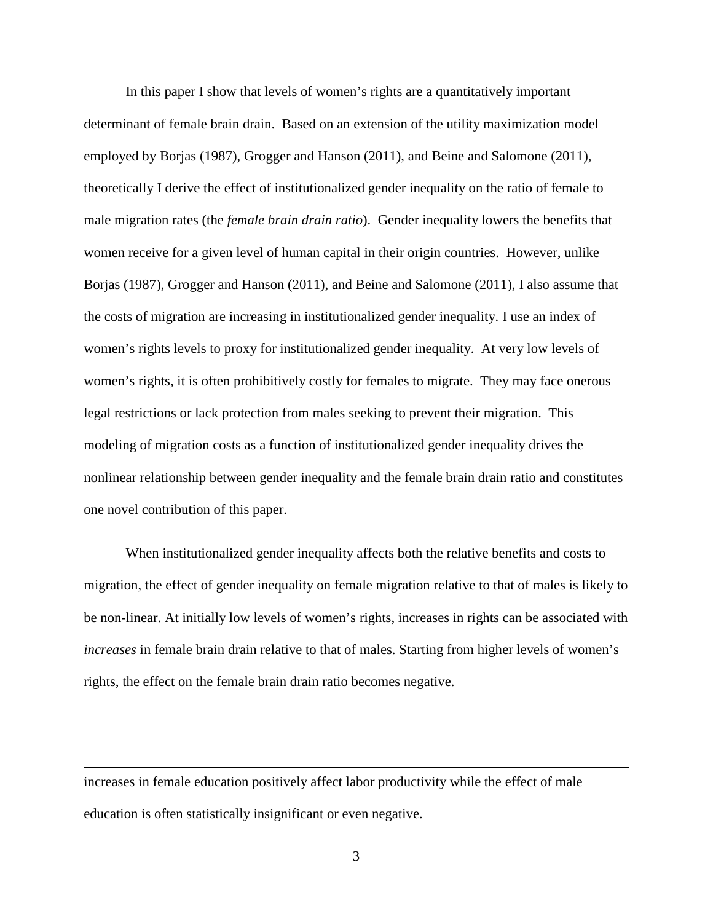In this paper I show that levels of women's rights are a quantitatively important determinant of female brain drain. Based on an extension of the utility maximization model employed by Borjas (1987), Grogger and Hanson (2011), and Beine and Salomone (2011), theoretically I derive the effect of institutionalized gender inequality on the ratio of female to male migration rates (the *female brain drain ratio*). Gender inequality lowers the benefits that women receive for a given level of human capital in their origin countries. However, unlike Borjas (1987), Grogger and Hanson (2011), and Beine and Salomone (2011), I also assume that the costs of migration are increasing in institutionalized gender inequality. I use an index of women's rights levels to proxy for institutionalized gender inequality. At very low levels of women's rights, it is often prohibitively costly for females to migrate. They may face onerous legal restrictions or lack protection from males seeking to prevent their migration. This modeling of migration costs as a function of institutionalized gender inequality drives the nonlinear relationship between gender inequality and the female brain drain ratio and constitutes one novel contribution of this paper.

When institutionalized gender inequality affects both the relative benefits and costs to migration, the effect of gender inequality on female migration relative to that of males is likely to be non-linear. At initially low levels of women's rights, increases in rights can be associated with *increases* in female brain drain relative to that of males. Starting from higher levels of women's rights, the effect on the female brain drain ratio becomes negative.

increases in female education positively affect labor productivity while the effect of male education is often statistically insignificant or even negative.

 $\overline{a}$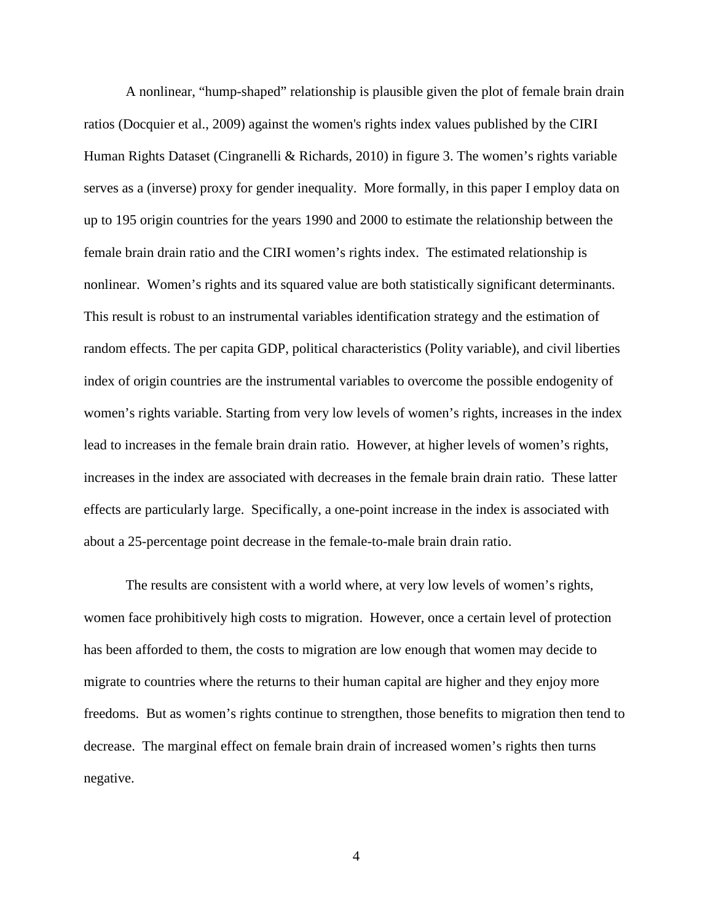A nonlinear, "hump-shaped" relationship is plausible given the plot of female brain drain ratios (Docquier et al., 2009) against the women's rights index values published by the CIRI Human Rights Dataset (Cingranelli & Richards, 2010) in figure 3. The women's rights variable serves as a (inverse) proxy for gender inequality. More formally, in this paper I employ data on up to 195 origin countries for the years 1990 and 2000 to estimate the relationship between the female brain drain ratio and the CIRI women's rights index. The estimated relationship is nonlinear. Women's rights and its squared value are both statistically significant determinants. This result is robust to an instrumental variables identification strategy and the estimation of random effects. The per capita GDP, political characteristics (Polity variable), and civil liberties index of origin countries are the instrumental variables to overcome the possible endogenity of women's rights variable. Starting from very low levels of women's rights, increases in the index lead to increases in the female brain drain ratio. However, at higher levels of women's rights, increases in the index are associated with decreases in the female brain drain ratio. These latter effects are particularly large. Specifically, a one-point increase in the index is associated with about a 25-percentage point decrease in the female-to-male brain drain ratio.

The results are consistent with a world where, at very low levels of women's rights, women face prohibitively high costs to migration. However, once a certain level of protection has been afforded to them, the costs to migration are low enough that women may decide to migrate to countries where the returns to their human capital are higher and they enjoy more freedoms. But as women's rights continue to strengthen, those benefits to migration then tend to decrease. The marginal effect on female brain drain of increased women's rights then turns negative.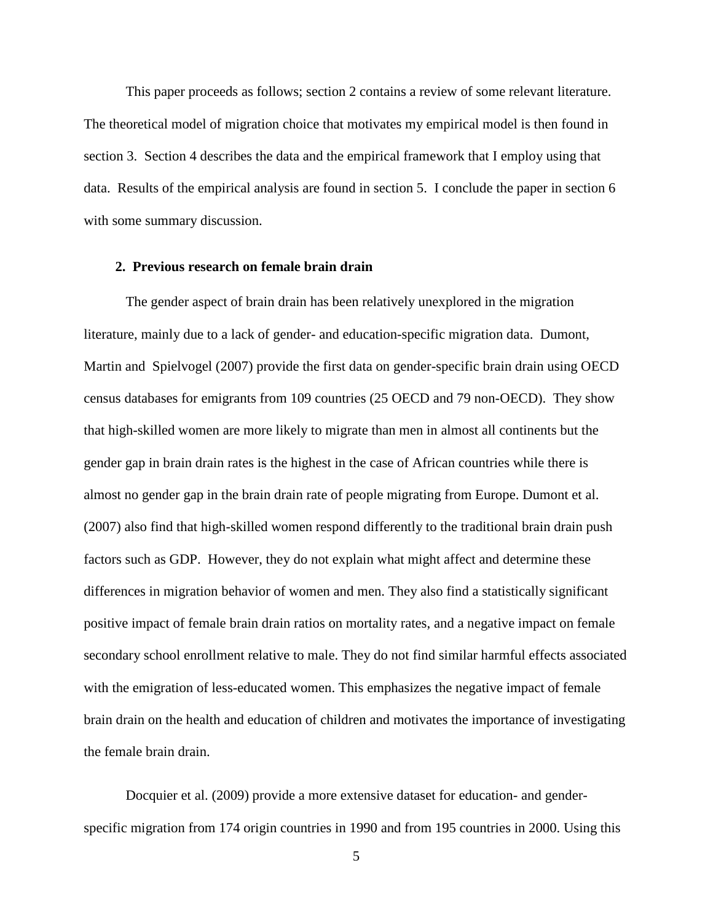This paper proceeds as follows; section 2 contains a review of some relevant literature. The theoretical model of migration choice that motivates my empirical model is then found in section 3. Section 4 describes the data and the empirical framework that I employ using that data. Results of the empirical analysis are found in section 5. I conclude the paper in section 6 with some summary discussion.

#### **2. Previous research on female brain drain**

The gender aspect of brain drain has been relatively unexplored in the migration literature, mainly due to a lack of gender- and education-specific migration data. [Dumont,](#page-30-0)  [Martin and Spielvogel \(2007\)](#page-30-0) provide the first data on gender-specific brain drain using OECD census databases for emigrants from 109 countries (25 OECD and 79 non-OECD). They show that high-skilled women are more likely to migrate than men in almost all continents but the gender gap in brain drain rates is the highest in the case of African countries while there is almost no gender gap in the brain drain rate of people migrating from Europe. Dumont et al. (2007) also find that high-skilled women respond differently to the traditional brain drain push factors such as GDP. However, they do not explain what might affect and determine these differences in migration behavior of women and men. They also find a statistically significant positive impact of female brain drain ratios on mortality rates, and a negative impact on female secondary school enrollment relative to male. They do not find similar harmful effects associated with the emigration of less-educated women. This emphasizes the negative impact of female brain drain on the health and education of children and motivates the importance of investigating the female brain drain.

Docquier et al. (2009) provide a more extensive dataset for education- and genderspecific migration from 174 origin countries in 1990 and from 195 countries in 2000. Using this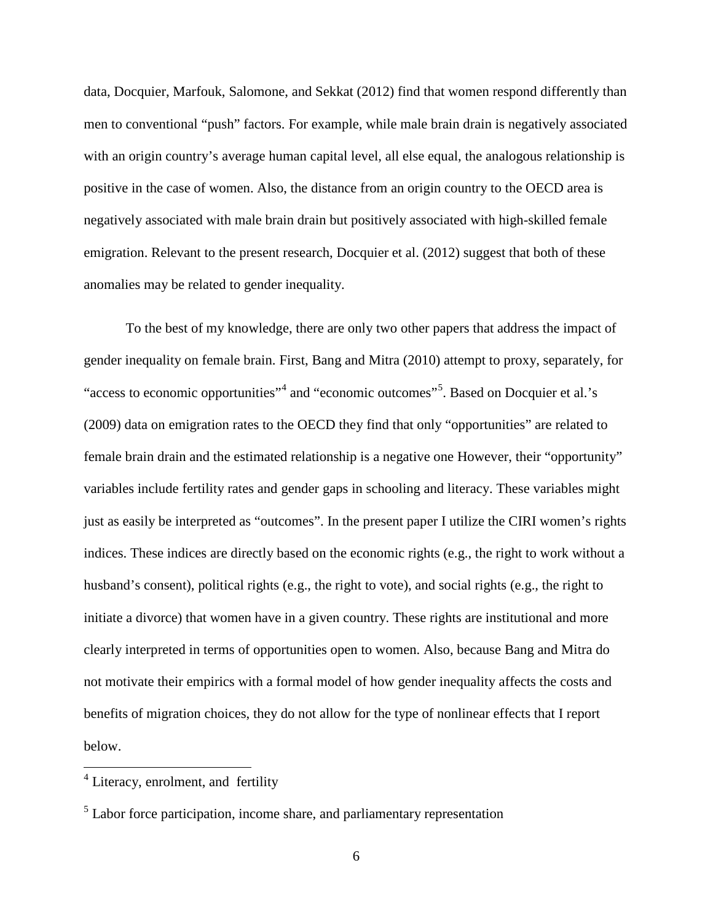data, Docquier, Marfouk, Salomone, and Sekkat (2012) find that women respond differently than men to conventional "push" factors. For example, while male brain drain is negatively associated with an origin country's average human capital level, all else equal, the analogous relationship is positive in the case of women. Also, the distance from an origin country to the OECD area is negatively associated with male brain drain but positively associated with high-skilled female emigration. Relevant to the present research, Docquier et al. (2012) suggest that both of these anomalies may be related to gender inequality.

To the best of my knowledge, there are only two other papers that address the impact of gender inequality on female brain. First, Bang and Mitra (2010) attempt to proxy, separately, for "access to economic opportunities"<sup>[4](#page-3-0)</sup> and "economic outcomes"<sup>[5](#page-7-0)</sup>. Based on Docquier et al.'s (2009) data on emigration rates to the OECD they find that only "opportunities" are related to female brain drain and the estimated relationship is a negative one However, their "opportunity" variables include fertility rates and gender gaps in schooling and literacy. These variables might just as easily be interpreted as "outcomes". In the present paper I utilize the CIRI women's rights indices. These indices are directly based on the economic rights (e.g., the right to work without a husband's consent), political rights (e.g., the right to vote), and social rights (e.g., the right to initiate a divorce) that women have in a given country. These rights are institutional and more clearly interpreted in terms of opportunities open to women. Also, because Bang and Mitra do not motivate their empirics with a formal model of how gender inequality affects the costs and benefits of migration choices, they do not allow for the type of nonlinear effects that I report below.

<span id="page-7-1"></span><sup>&</sup>lt;sup>4</sup> Literacy, enrolment, and fertility

<span id="page-7-0"></span><sup>&</sup>lt;sup>5</sup> Labor force participation, income share, and parliamentary representation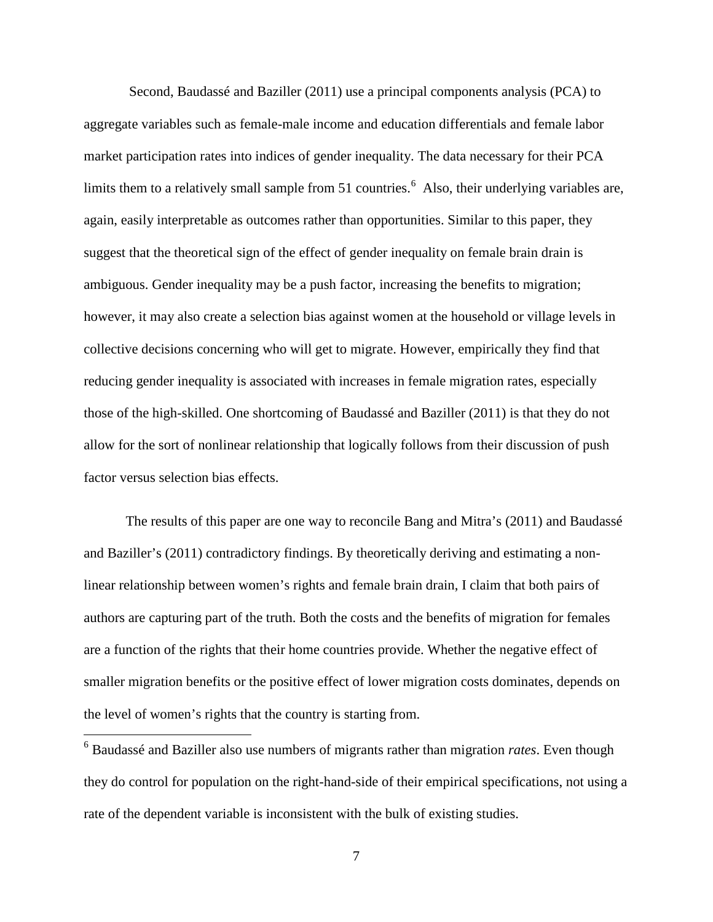Second, Baudassé and Baziller (2011) use a principal components analysis (PCA) to aggregate variables such as female-male income and education differentials and female labor market participation rates into indices of gender inequality. The data necessary for their PCA limits them to a relatively small sample from 51 countries.<sup>[6](#page-7-1)</sup> Also, their underlying variables are, again, easily interpretable as outcomes rather than opportunities. Similar to this paper, they suggest that the theoretical sign of the effect of gender inequality on female brain drain is ambiguous. Gender inequality may be a push factor, increasing the benefits to migration; however, it may also create a selection bias against women at the household or village levels in collective decisions concerning who will get to migrate. However, empirically they find that reducing gender inequality is associated with increases in female migration rates, especially those of the high-skilled. One shortcoming of Baudassé and Baziller (2011) is that they do not allow for the sort of nonlinear relationship that logically follows from their discussion of push factor versus selection bias effects.

The results of this paper are one way to reconcile Bang and Mitra's (2011) and Baudassé and Baziller's (2011) contradictory findings. By theoretically deriving and estimating a nonlinear relationship between women's rights and female brain drain, I claim that both pairs of authors are capturing part of the truth. Both the costs and the benefits of migration for females are a function of the rights that their home countries provide. Whether the negative effect of smaller migration benefits or the positive effect of lower migration costs dominates, depends on the level of women's rights that the country is starting from.

<span id="page-8-0"></span> 6 Baudassé and Baziller also use numbers of migrants rather than migration *rates*. Even though they do control for population on the right-hand-side of their empirical specifications, not using a rate of the dependent variable is inconsistent with the bulk of existing studies.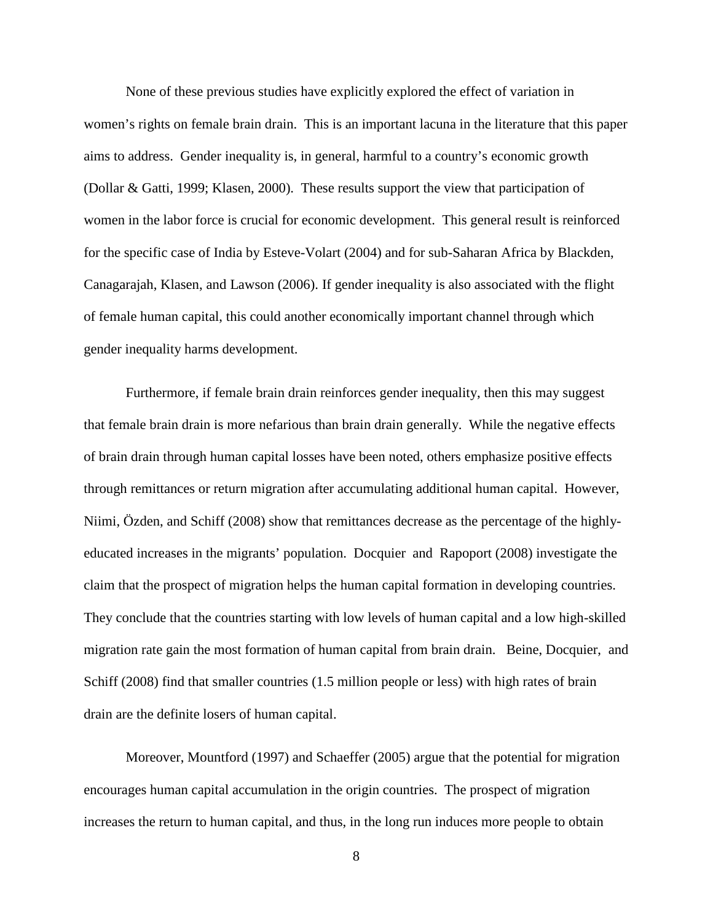None of these previous studies have explicitly explored the effect of variation in women's rights on female brain drain. This is an important lacuna in the literature that this paper aims to address. Gender inequality is, in general, harmful to a country's economic growth (Dollar & [Gatti, 1999;](#page-30-1) [Klasen, 2000\)](#page-31-0). These results support the view that participation of women in the labor force is crucial for economic development. This general result is reinforced for the specific case of India by Esteve-Volart (2004) and for sub-Saharan Africa by [Blackden,](#page-29-0)  [Canagarajah, Klasen, and Lawson \(2006\)](#page-29-0). If gender inequality is also associated with the flight of female human capital, this could another economically important channel through which gender inequality harms development.

Furthermore, if female brain drain reinforces gender inequality, then this may suggest that female brain drain is more nefarious than brain drain generally. While the negative effects of brain drain through human capital losses have been noted, others emphasize positive effects through remittances or return migration after accumulating additional human capital. However, Niimi, Özden, and Schiff (2008) show that remittances decrease as the percentage of the highlyeducated increases in the migrants' population. [Docquier and Rapoport \(2008\)](#page-30-2) investigate the claim that the prospect of migration helps the human capital formation in developing countries. They conclude that the countries starting with low levels of human capital and a low high-skilled migration rate gain the most formation of human capital from brain drain. [Beine, Docquier, and](#page-29-1)  [Schiff \(2008\)](#page-29-1) find that smaller countries (1.5 million people or less) with high rates of brain drain are the definite losers of human capital.

Moreover, Mountford (1997) and Schaeffer (2005) argue that the potential for migration encourages human capital accumulation in the origin countries. The prospect of migration increases the return to human capital, and thus, in the long run induces more people to obtain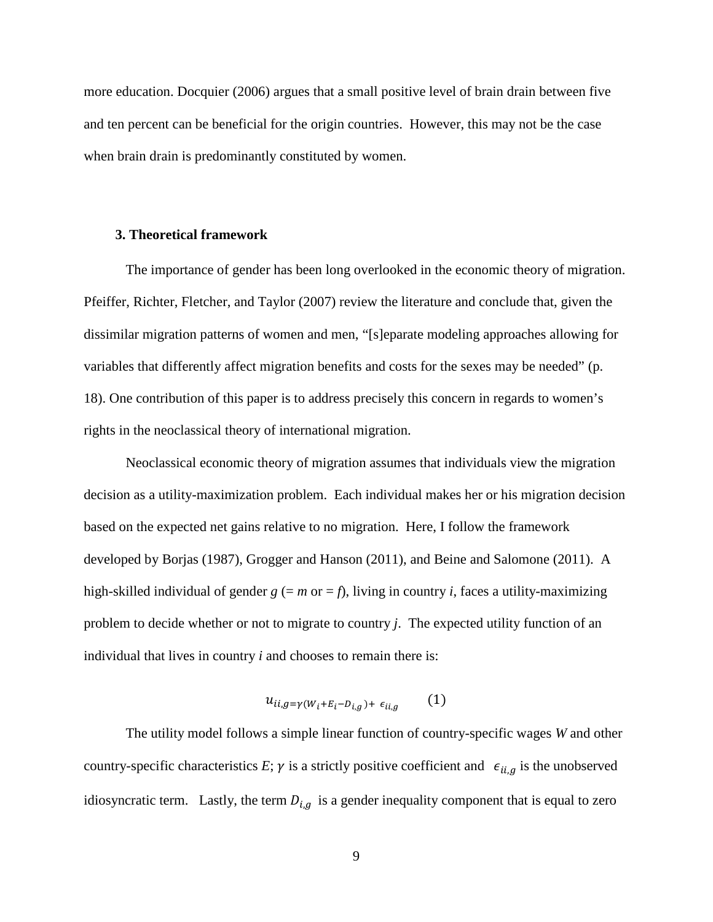more education. [Docquier \(2006\)](#page-29-2) argues that a small positive level of brain drain between five and ten percent can be beneficial for the origin countries. However, this may not be the case when brain drain is predominantly constituted by women.

#### **3. Theoretical framework**

The importance of gender has been long overlooked in the economic theory of migration. Pfeiffer, Richter, Fletcher, and Taylor (2007) review the literature and conclude that, given the dissimilar migration patterns of women and men, "[s]eparate modeling approaches allowing for variables that differently affect migration benefits and costs for the sexes may be needed" (p. 18). One contribution of this paper is to address precisely this concern in regards to women's rights in the neoclassical theory of international migration.

Neoclassical economic theory of migration assumes that individuals view the migration decision as a utility-maximization problem. Each individual makes her or his migration decision based on the expected net gains relative to no migration. Here, I follow the framework developed by Borjas (1987), Grogger and Hanson (2011), and Beine and Salomone (2011). A high-skilled individual of gender  $g (= m$  or  $= f$ ), living in country *i*, faces a utility-maximizing problem to decide whether or not to migrate to country *j*. The expected utility function of an individual that lives in country *i* and chooses to remain there is:

$$
u_{ii,g=\gamma(W_i+E_i-D_{i,g})+\epsilon_{ii,g}}(1)
$$

The utility model follows a simple linear function of country-specific wages *W* and other country-specific characteristics *E*;  $\gamma$  is a strictly positive coefficient and  $\epsilon_{ii,g}$  is the unobserved idiosyncratic term. Lastly, the term  $D_{i,q}$  is a gender inequality component that is equal to zero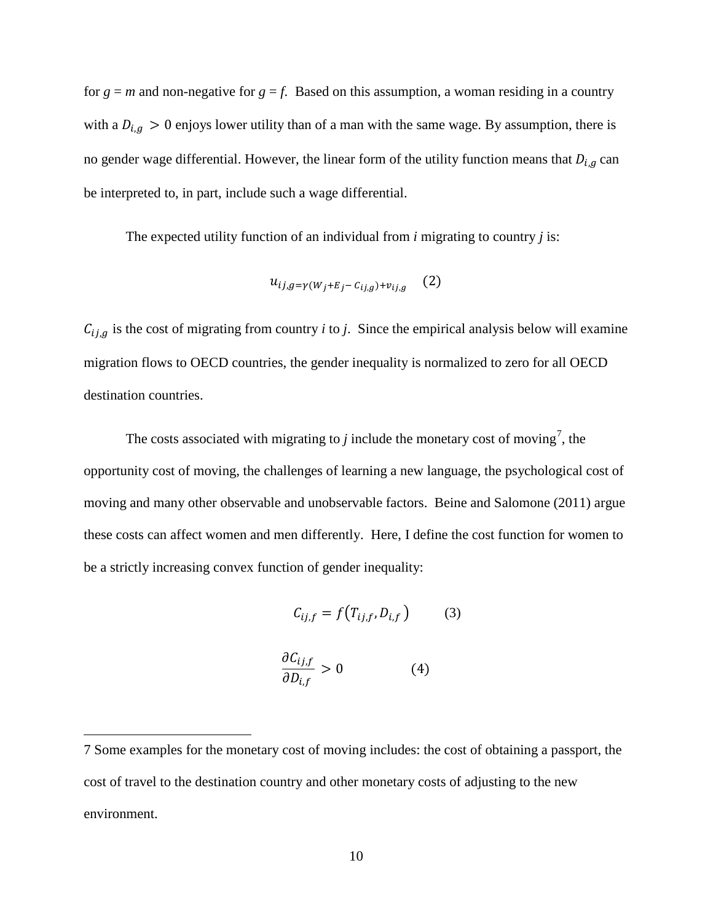for  $g = m$  and non-negative for  $g = f$ . Based on this assumption, a woman residing in a country with a  $D_{i,q} > 0$  enjoys lower utility than of a man with the same wage. By assumption, there is no gender wage differential. However, the linear form of the utility function means that  $D_{i,g}$  can be interpreted to, in part, include such a wage differential.

The expected utility function of an individual from *i* migrating to country *j* is:

$$
u_{ij,g=\gamma(W_j+E_j-C_{ij,g})+v_{ij,g}} \quad (2)
$$

 $C_{ij,g}$  is the cost of migrating from country *i* to *j*. Since the empirical analysis below will examine migration flows to OECD countries, the gender inequality is normalized to zero for all OECD destination countries.

The costs associated with migrating to  $j$  include the monetary cost of moving<sup>[7](#page-8-0)</sup>, the opportunity cost of moving, the challenges of learning a new language, the psychological cost of moving and many other observable and unobservable factors. Beine and Salomone (2011) argue these costs can affect women and men differently. Here, I define the cost function for women to be a strictly increasing convex function of gender inequality:

$$
C_{ij,f} = f(T_{ij,f}, D_{i,f}) \tag{3}
$$

$$
\frac{\partial C_{ij,f}}{\partial D_{i,f}} > 0 \tag{4}
$$

 $\overline{a}$ 

<span id="page-11-0"></span><sup>7</sup> Some examples for the monetary cost of moving includes: the cost of obtaining a passport, the cost of travel to the destination country and other monetary costs of adjusting to the new environment.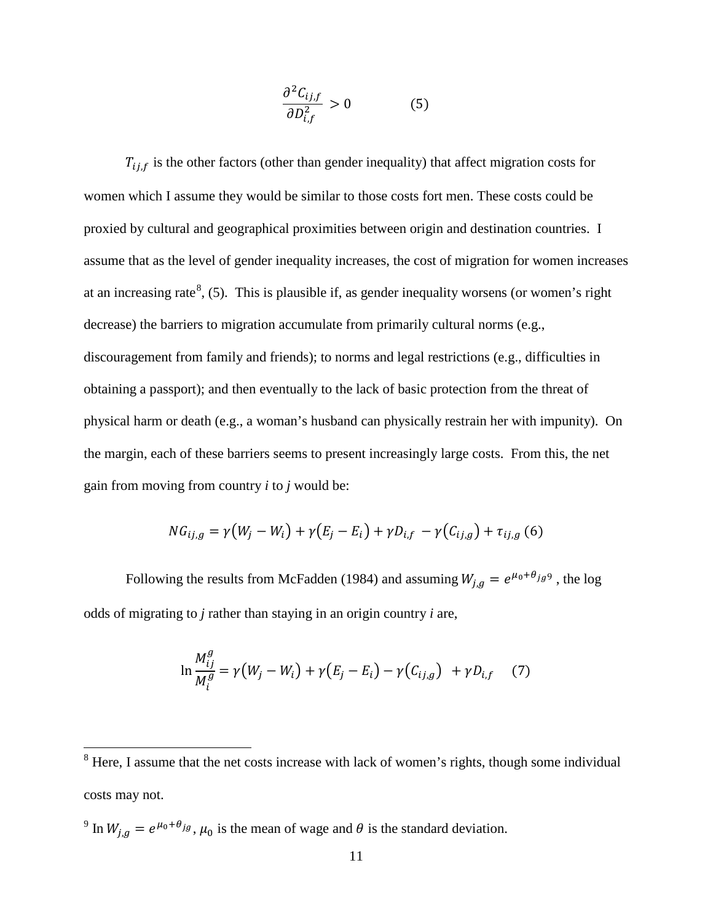$$
\frac{\partial^2 C_{ij,f}}{\partial D_{i,f}^2} > 0 \tag{5}
$$

 $T_{ij,f}$  is the other factors (other than gender inequality) that affect migration costs for women which I assume they would be similar to those costs fort men. These costs could be proxied by cultural and geographical proximities between origin and destination countries. I assume that as the level of gender inequality increases, the cost of migration for women increases at an increasing rate<sup>[8](#page-11-0)</sup>, (5). This is plausible if, as gender inequality worsens (or women's right decrease) the barriers to migration accumulate from primarily cultural norms (e.g., discouragement from family and friends); to norms and legal restrictions (e.g., difficulties in obtaining a passport); and then eventually to the lack of basic protection from the threat of physical harm or death (e.g., a woman's husband can physically restrain her with impunity). On the margin, each of these barriers seems to present increasingly large costs. From this, the net gain from moving from country *i* to *j* would be:

$$
NG_{ij,g} = \gamma (W_j - W_i) + \gamma (E_j - E_i) + \gamma D_{i,f} - \gamma (C_{ij,g}) + \tau_{ij,g}
$$
 (6)

Following the results from McFadden (1984) and assuming  $W_{j,g} = e^{\mu_0 + \theta_{j,g} 9}$ , the log odds of migrating to *j* rather than staying in an origin country *i* are,

$$
\ln \frac{M_{ij}^g}{M_i^g} = \gamma (W_j - W_i) + \gamma (E_j - E_i) - \gamma (C_{ij,g}) + \gamma D_{i,f} \quad (7)
$$

<sup>9</sup> In  $W_{j,g} = e^{\mu_0 + \theta_{jg}}, \mu_0$  is the mean of wage and  $\theta$  is the standard deviation.

<span id="page-12-0"></span><sup>&</sup>lt;sup>8</sup> Here, I assume that the net costs increase with lack of women's rights, though some individual costs may not.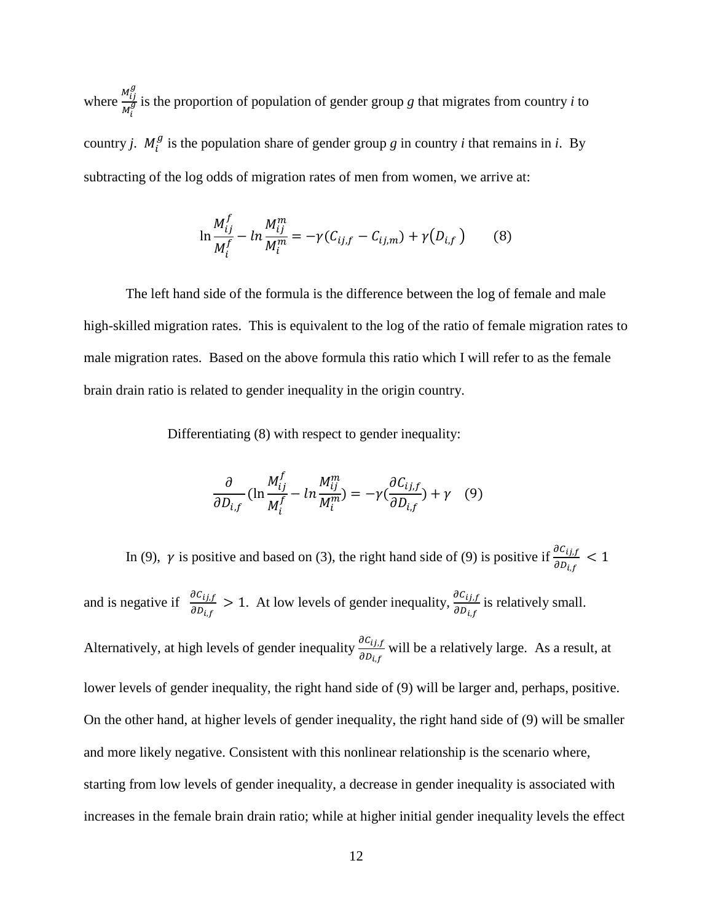where  $\frac{M_{ij}^g}{M_g^g}$  $M_i$  $\frac{dy}{dx}$  is the proportion of population of gender group *g* that migrates from country *i* to country *j*.  $M_i^g$  is the population share of gender group *g* in country *i* that remains in *i*. By subtracting of the log odds of migration rates of men from women, we arrive at:

$$
\ln \frac{M_{ij}^f}{M_i^f} - \ln \frac{M_{ij}^m}{M_i^m} = -\gamma (C_{ij,f} - C_{ij,m}) + \gamma (D_{i,f}) \tag{8}
$$

The left hand side of the formula is the difference between the log of female and male high-skilled migration rates. This is equivalent to the log of the ratio of female migration rates to male migration rates. Based on the above formula this ratio which I will refer to as the female brain drain ratio is related to gender inequality in the origin country.

Differentiating (8) with respect to gender inequality:

$$
\frac{\partial}{\partial D_{i,f}} \left( \ln \frac{M_{ij}^f}{M_i^f} - \ln \frac{M_{ij}^m}{M_i^m} \right) = -\gamma \left( \frac{\partial C_{ij,f}}{\partial D_{i,f}} \right) + \gamma \quad (9)
$$

In (9),  $\gamma$  is positive and based on (3), the right hand side of (9) is positive if  $\frac{\partial C_{ij,f}}{\partial D_{i,f}} < 1$ and is negative if  $\frac{\partial C_{ij,f}}{\partial p}$  $\frac{\partial C_{ij,f}}{\partial D_{i,f}} > 1$ . At low levels of gender inequality,  $\frac{\partial C_{ij,f}}{\partial D_{i,f}}$  $\left. \sigma \nu_{i,f} \right.$ is relatively small. Alternatively, at high levels of gender inequality  $\frac{\partial C_{ij,f}}{\partial p}$  $\left. \partial D_{\textit{i},f} \right\rangle$ will be a relatively large. As a result, at lower levels of gender inequality, the right hand side of (9) will be larger and, perhaps, positive. On the other hand, at higher levels of gender inequality, the right hand side of (9) will be smaller and more likely negative. Consistent with this nonlinear relationship is the scenario where, starting from low levels of gender inequality, a decrease in gender inequality is associated with increases in the female brain drain ratio; while at higher initial gender inequality levels the effect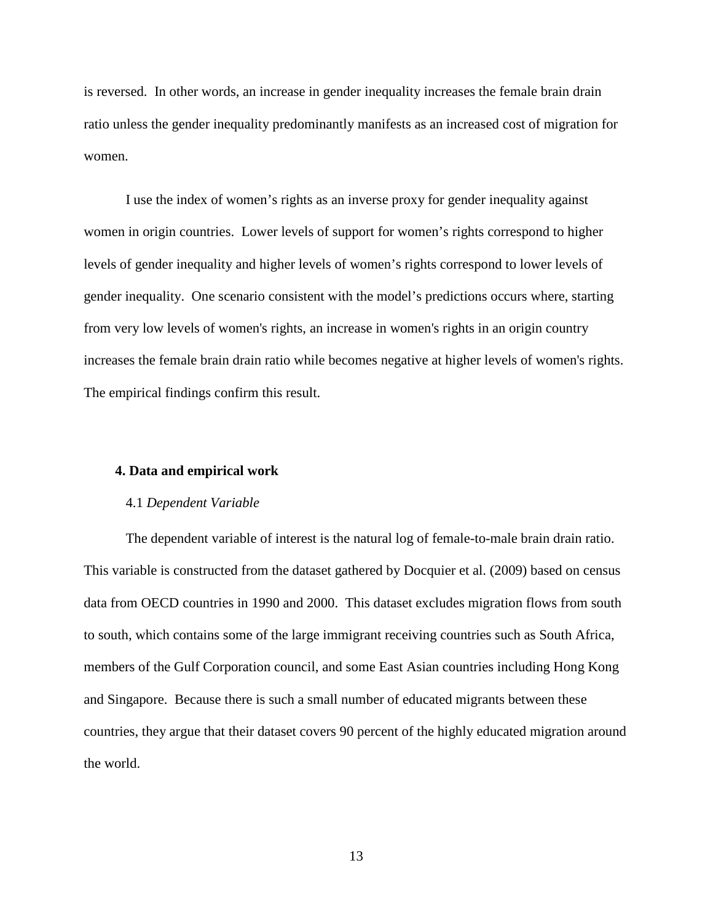is reversed. In other words, an increase in gender inequality increases the female brain drain ratio unless the gender inequality predominantly manifests as an increased cost of migration for women.

I use the index of women's rights as an inverse proxy for gender inequality against women in origin countries. Lower levels of support for women's rights correspond to higher levels of gender inequality and higher levels of women's rights correspond to lower levels of gender inequality. One scenario consistent with the model's predictions occurs where, starting from very low levels of women's rights, an increase in women's rights in an origin country increases the female brain drain ratio while becomes negative at higher levels of women's rights. The empirical findings confirm this result.

#### **4. Data and empirical work**

## 4.1 *Dependent Variable*

The dependent variable of interest is the natural log of female-to-male brain drain ratio. This variable is constructed from the dataset gathered by [Docquier et al. \(2009\)](#page-30-3) based on census data from OECD countries in 1990 and 2000. This dataset excludes migration flows from south to south, which contains some of the large immigrant receiving countries such as South Africa, members of the Gulf Corporation council, and some East Asian countries including Hong Kong and Singapore. Because there is such a small number of educated migrants between these countries, they argue that their dataset covers 90 percent of the highly educated migration around the world.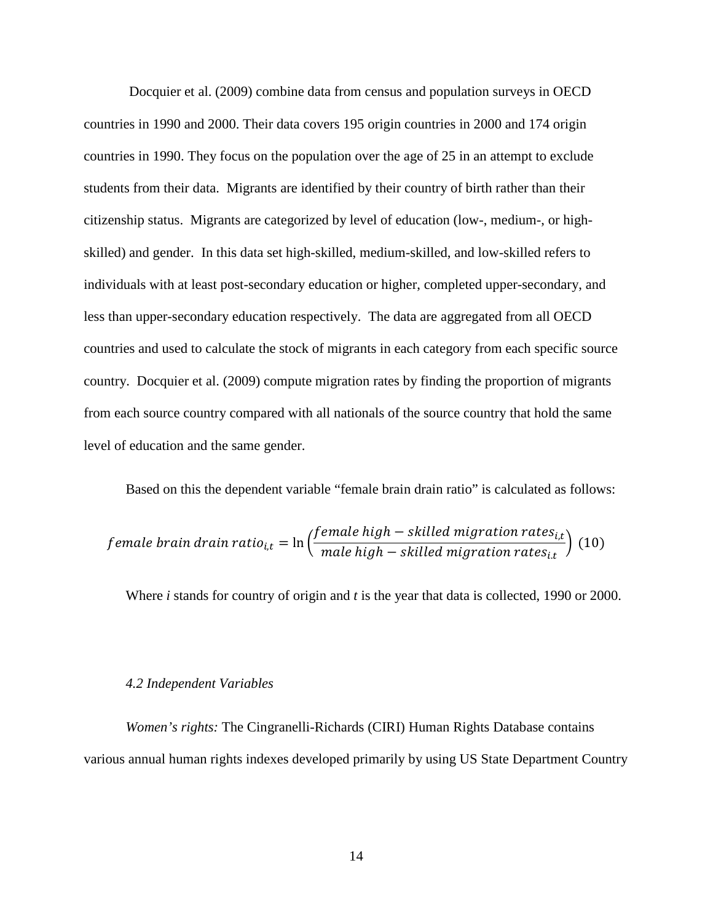[Docquier et al. \(2009\)](#page-30-3) combine data from census and population surveys in OECD countries in 1990 and 2000. Their data covers 195 origin countries in 2000 and 174 origin countries in 1990. They focus on the population over the age of 25 in an attempt to exclude students from their data. Migrants are identified by their country of birth rather than their citizenship status. Migrants are categorized by level of education (low-, medium-, or highskilled) and gender. In this data set high-skilled, medium-skilled, and low-skilled refers to individuals with at least post-secondary education or higher, completed upper-secondary, and less than upper-secondary education respectively. The data are aggregated from all OECD countries and used to calculate the stock of migrants in each category from each specific source country. Docquier et al. (2009) compute migration rates by finding the proportion of migrants from each source country compared with all nationals of the source country that hold the same level of education and the same gender.

Based on this the dependent variable "female brain drain ratio" is calculated as follows:

$$
female\ brain\ drain\ ratio_{i,t} = \ln\left(\frac{female\ high-skilled\ migration\ rates_{i,t}}{male\ high-skilled\ migration\ rates_{i,t}}\right) (10)
$$

Where *i* stands for country of origin and *t* is the year that data is collected, 1990 or 2000.

#### *4.2 Independent Variables*

*Women's rights:* The Cingranelli-Richards (CIRI) Human Rights Database contains various annual human rights indexes developed primarily by using US State Department Country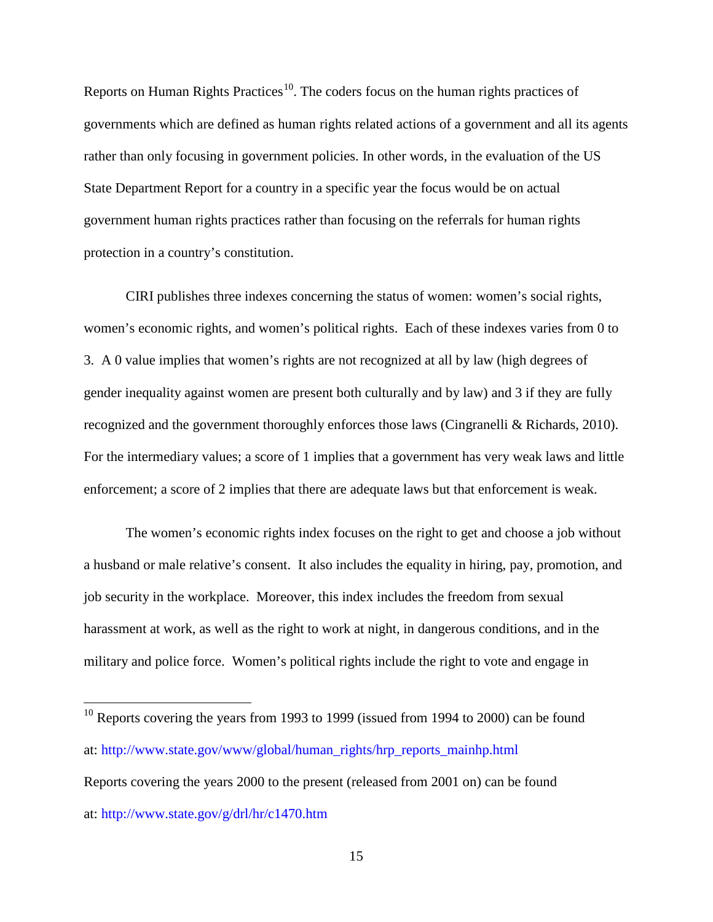Reports on Human Rights Practices<sup>[10](#page-12-0)</sup>. The coders focus on the human rights practices of governments which are defined as human rights related actions of a government and all its agents rather than only focusing in government policies. In other words, in the evaluation of the US State Department Report for a country in a specific year the focus would be on actual government human rights practices rather than focusing on the referrals for human rights protection in a country's constitution.

CIRI publishes three indexes concerning the status of women: women's social rights, women's economic rights, and women's political rights. Each of these indexes varies from 0 to 3. A 0 value implies that women's rights are not recognized at all by law (high degrees of gender inequality against women are present both culturally and by law) and 3 if they are fully recognized and the government thoroughly enforces those laws [\(Cingranelli & Richards, 2010\)](#page-29-3). For the intermediary values; a score of 1 implies that a government has very weak laws and little enforcement; a score of 2 implies that there are adequate laws but that enforcement is weak.

The women's economic rights index focuses on the right to get and choose a job without a husband or male relative's consent. It also includes the equality in hiring, pay, promotion, and job security in the workplace. Moreover, this index includes the freedom from sexual harassment at work, as well as the right to work at night, in dangerous conditions, and in the military and police force. Women's political rights include the right to vote and engage in

<span id="page-16-0"></span><sup>&</sup>lt;sup>10</sup> Reports covering the years from 1993 to 1999 (issued from 1994 to 2000) can be found at: http://www.state.gov/www/global/human\_rights/hrp\_reports\_mainhp.html Reports covering the years 2000 to the present (released from 2001 on) can be found at: http://www.state.gov/g/drl/hr/c1470.htm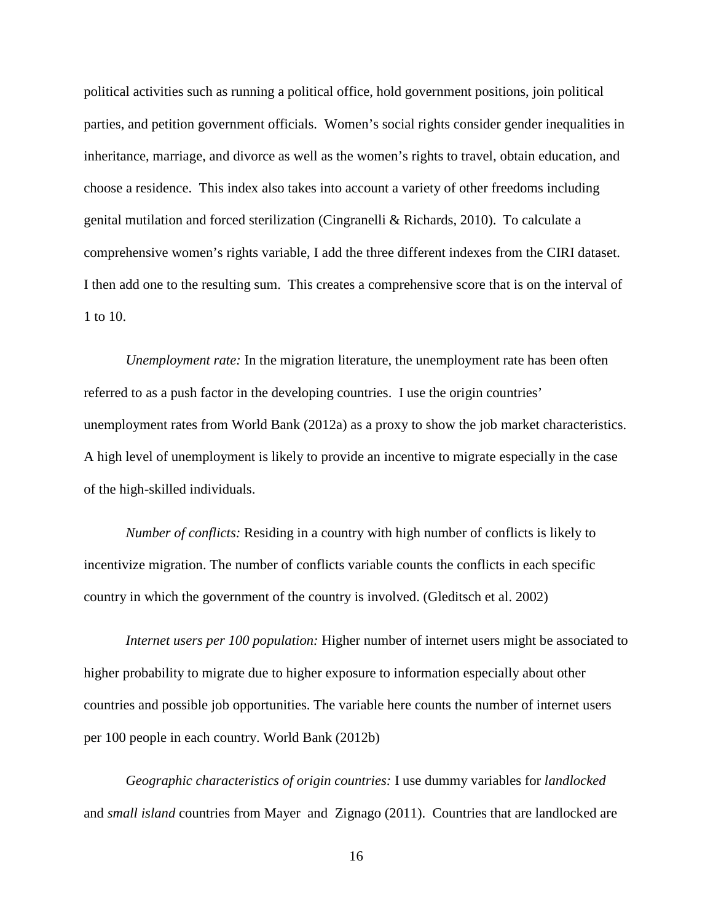political activities such as running a political office, hold government positions, join political parties, and petition government officials. Women's social rights consider gender inequalities in inheritance, marriage, and divorce as well as the women's rights to travel, obtain education, and choose a residence. This index also takes into account a variety of other freedoms including genital mutilation and forced sterilization [\(Cingranelli & Richards, 2010\)](#page-29-3). To calculate a comprehensive women's rights variable, I add the three different indexes from the CIRI dataset. I then add one to the resulting sum. This creates a comprehensive score that is on the interval of 1 to 10.

*Unemployment rate:* In the migration literature, the unemployment rate has been often referred to as a push factor in the developing countries. I use the origin countries' unemployment rates from [World Bank](#page-32-0) (2012a) as a proxy to show the job market characteristics. A high level of unemployment is likely to provide an incentive to migrate especially in the case of the high-skilled individuals.

*Number of conflicts:* Residing in a country with high number of conflicts is likely to incentivize migration. The number of conflicts variable counts the conflicts in each specific country in which the government of the country is involved. (Gleditsch et al. 2002)

*Internet users per 100 population:* Higher number of internet users might be associated to higher probability to migrate due to higher exposure to information especially about other countries and possible job opportunities. The variable here counts the number of internet users per 100 people in each country. World Bank (2012b)

*Geographic characteristics of origin countries:* I use dummy variables for *landlocked*  and *small island* countries from Mayer and Zignago (2011). Countries that are landlocked are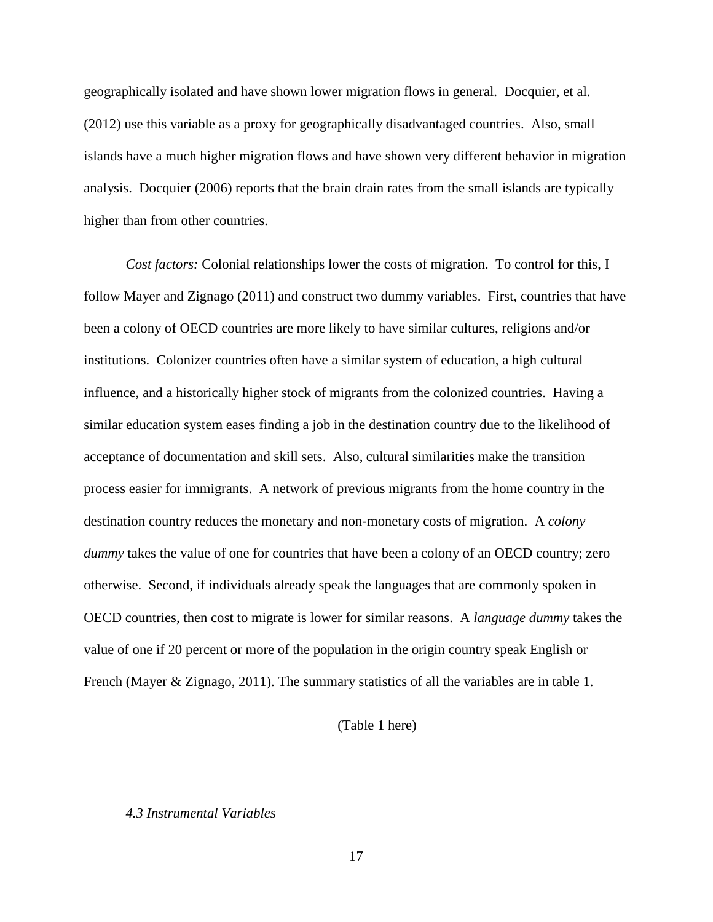geographically isolated and have shown lower migration flows in general. [Docquier, et al.](#page-30-4)  [\(2012\)](#page-30-4) use this variable as a proxy for geographically disadvantaged countries. Also, small islands have a much higher migration flows and have shown very different behavior in migration analysis. [Docquier \(2006\)](#page-29-2) reports that the brain drain rates from the small islands are typically higher than from other countries.

*Cost factors:* Colonial relationships lower the costs of migration. To control for this, I follow Mayer and Zignago (2011) and construct two dummy variables. First, countries that have been a colony of OECD countries are more likely to have similar cultures, religions and/or institutions. Colonizer countries often have a similar system of education, a high cultural influence, and a historically higher stock of migrants from the colonized countries. Having a similar education system eases finding a job in the destination country due to the likelihood of acceptance of documentation and skill sets. Also, cultural similarities make the transition process easier for immigrants. A network of previous migrants from the home country in the destination country reduces the monetary and non-monetary costs of migration. A *colony dummy* takes the value of one for countries that have been a colony of an OECD country; zero otherwise. Second, if individuals already speak the languages that are commonly spoken in OECD countries, then cost to migrate is lower for similar reasons. A *language dummy* takes the value of one if 20 percent or more of the population in the origin country speak English or French (Mayer & Zignago, 2011). The summary statistics of all the variables are in table 1.

# (Table 1 here)

# *4.3 Instrumental Variables*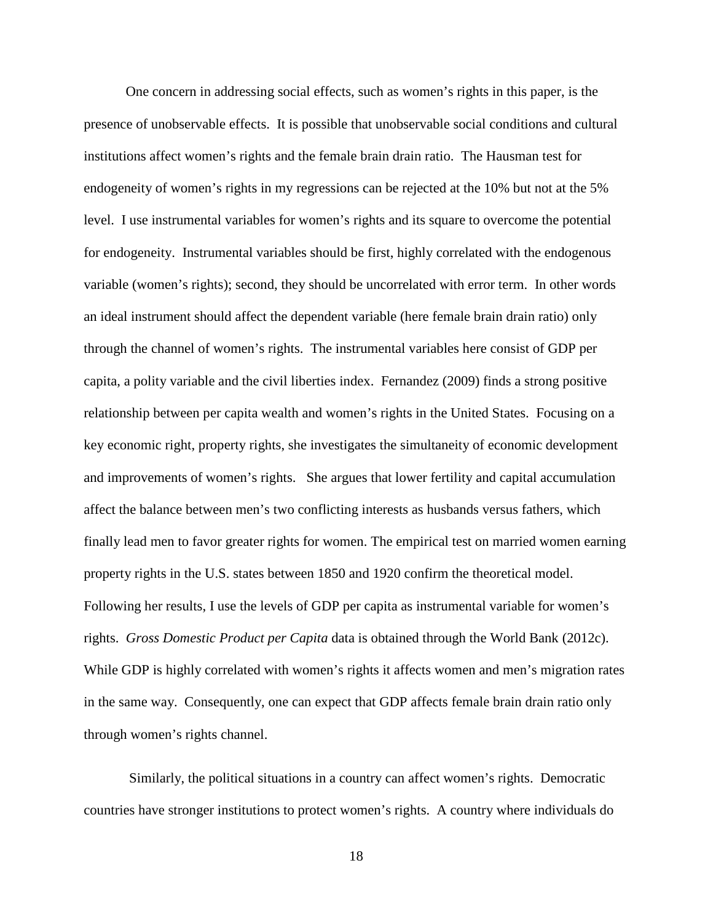One concern in addressing social effects, such as women's rights in this paper, is the presence of unobservable effects. It is possible that unobservable social conditions and cultural institutions affect women's rights and the female brain drain ratio. The Hausman test for endogeneity of women's rights in my regressions can be rejected at the 10% but not at the 5% level. I use instrumental variables for women's rights and its square to overcome the potential for endogeneity. Instrumental variables should be first, highly correlated with the endogenous variable (women's rights); second, they should be uncorrelated with error term. In other words an ideal instrument should affect the dependent variable (here female brain drain ratio) only through the channel of women's rights. The instrumental variables here consist of GDP per capita, a polity variable and the civil liberties index. Fernandez (2009) finds a strong positive relationship between per capita wealth and women's rights in the United States. Focusing on a key economic right, property rights, she investigates the simultaneity of economic development and improvements of women's rights. She argues that lower fertility and capital accumulation affect the balance between men's two conflicting interests as husbands versus fathers, which finally lead men to favor greater rights for women. The empirical test on married women earning property rights in the U.S. states between 1850 and 1920 confirm the theoretical model. Following her results, I use the levels of GDP per capita as instrumental variable for women's rights. *Gross Domestic Product per Capita* data is obtained through the [World Bank \(2012c\)](#page-32-1). While GDP is highly correlated with women's rights it affects women and men's migration rates in the same way. Consequently, one can expect that GDP affects female brain drain ratio only through women's rights channel.

Similarly, the political situations in a country can affect women's rights. Democratic countries have stronger institutions to protect women's rights. A country where individuals do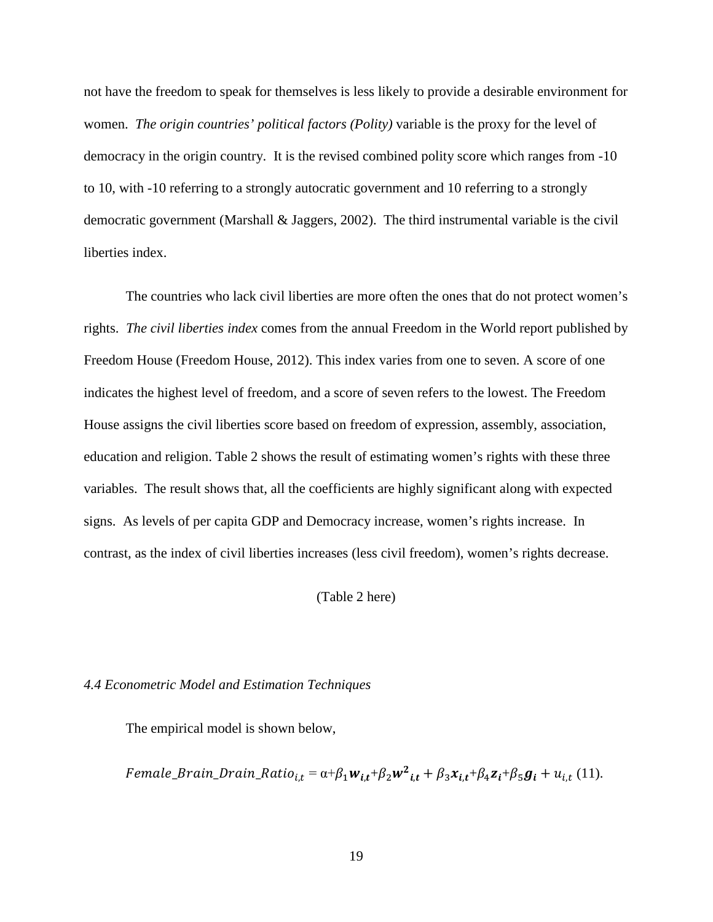not have the freedom to speak for themselves is less likely to provide a desirable environment for women. *The origin countries' political factors (Polity)* variable is the proxy for the level of democracy in the origin country. It is the revised combined polity score which ranges from -10 to 10, with -10 referring to a strongly autocratic government and 10 referring to a strongly democratic government [\(Marshall & Jaggers, 2002\)](#page-31-1). The third instrumental variable is the civil liberties index.

The countries who lack civil liberties are more often the ones that do not protect women's rights. *The civil liberties index* comes from the annual Freedom in the World report published by Freedom House (Freedom House, 2012). This index varies from one to seven. A score of one indicates the highest level of freedom, and a score of seven refers to the lowest. The Freedom House assigns the civil liberties score based on freedom of expression, assembly, association, education and religion. Table 2 shows the result of estimating women's rights with these three variables. The result shows that, all the coefficients are highly significant along with expected signs. As levels of per capita GDP and Democracy increase, women's rights increase. In contrast, as the index of civil liberties increases (less civil freedom), women's rights decrease.

(Table 2 here)

# *4.4 Econometric Model and Estimation Techniques*

The empirical model is shown below,

Female\_Brain\_Drain\_Ratio<sub>i,t</sub> =  $\alpha+\beta_1 w_{i,t}+\beta_2 w^2_{i,t}+\beta_3 x_{i,t}+\beta_4 z_i+\beta_5 g_i+u_{i,t}$  (11).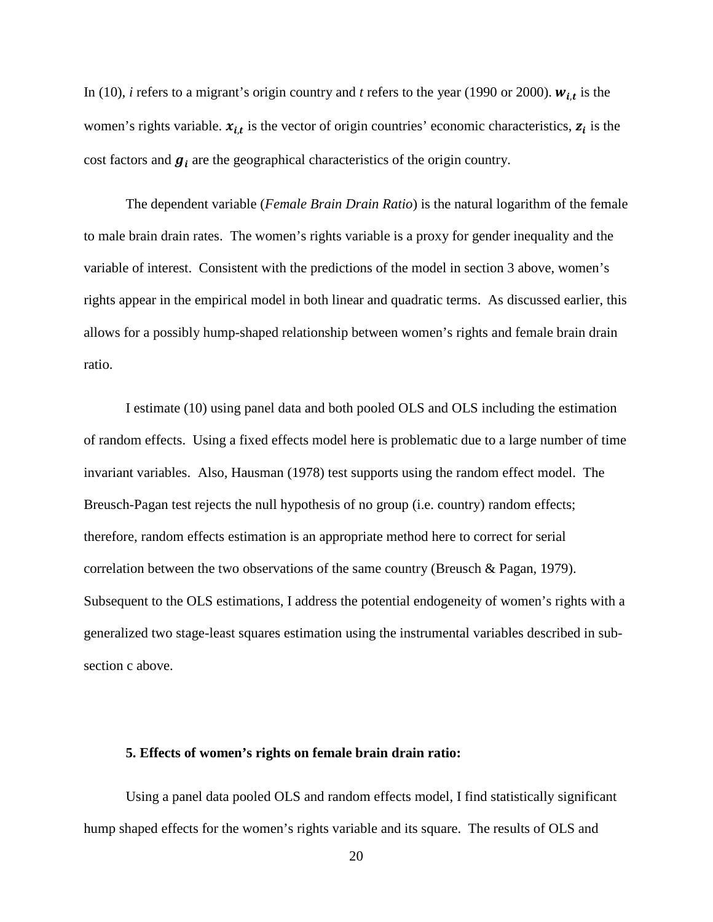In (10), *i* refers to a migrant's origin country and *t* refers to the year (1990 or 2000).  $w_{i,t}$  is the women's rights variable.  $x_{i,t}$  is the vector of origin countries' economic characteristics,  $z_i$  is the cost factors and  $g_i$  are the geographical characteristics of the origin country.

The dependent variable (*Female Brain Drain Ratio*) is the natural logarithm of the female to male brain drain rates. The women's rights variable is a proxy for gender inequality and the variable of interest. Consistent with the predictions of the model in section 3 above, women's rights appear in the empirical model in both linear and quadratic terms. As discussed earlier, this allows for a possibly hump-shaped relationship between women's rights and female brain drain ratio.

I estimate (10) using panel data and both pooled OLS and OLS including the estimation of random effects. Using a fixed effects model here is problematic due to a large number of time invariant variables. Also, Hausman (1978) test supports using the random effect model. The Breusch-Pagan test rejects the null hypothesis of no group (i.e. country) random effects; therefore, random effects estimation is an appropriate method here to correct for serial correlation between the two observations of the same country [\(Breusch & Pagan, 1979\)](#page-29-4). Subsequent to the OLS estimations, I address the potential endogeneity of women's rights with a generalized two stage-least squares estimation using the instrumental variables described in subsection c above.

#### **5. Effects of women's rights on female brain drain ratio:**

Using a panel data pooled OLS and random effects model, I find statistically significant hump shaped effects for the women's rights variable and its square. The results of OLS and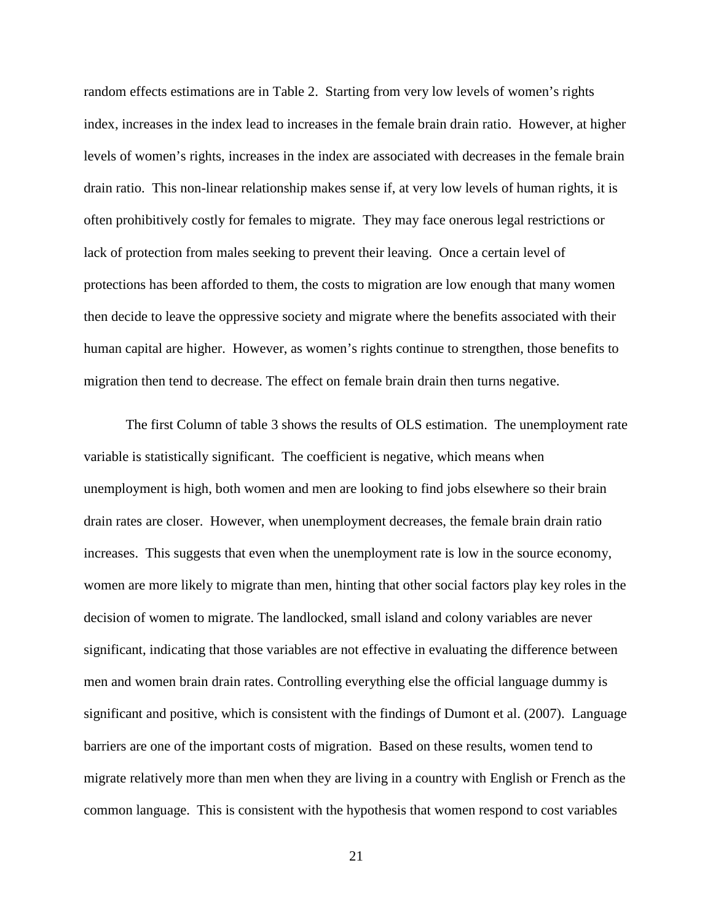random effects estimations are in Table 2. Starting from very low levels of women's rights index, increases in the index lead to increases in the female brain drain ratio. However, at higher levels of women's rights, increases in the index are associated with decreases in the female brain drain ratio. This non-linear relationship makes sense if, at very low levels of human rights, it is often prohibitively costly for females to migrate. They may face onerous legal restrictions or lack of protection from males seeking to prevent their leaving. Once a certain level of protections has been afforded to them, the costs to migration are low enough that many women then decide to leave the oppressive society and migrate where the benefits associated with their human capital are higher. However, as women's rights continue to strengthen, those benefits to migration then tend to decrease. The effect on female brain drain then turns negative.

The first Column of table 3 shows the results of OLS estimation. The unemployment rate variable is statistically significant. The coefficient is negative, which means when unemployment is high, both women and men are looking to find jobs elsewhere so their brain drain rates are closer. However, when unemployment decreases, the female brain drain ratio increases. This suggests that even when the unemployment rate is low in the source economy, women are more likely to migrate than men, hinting that other social factors play key roles in the decision of women to migrate. The landlocked, small island and colony variables are never significant, indicating that those variables are not effective in evaluating the difference between men and women brain drain rates. Controlling everything else the official language dummy is significant and positive, which is consistent with the findings of [Dumont et al. \(2007\)](#page-30-0). Language barriers are one of the important costs of migration. Based on these results, women tend to migrate relatively more than men when they are living in a country with English or French as the common language. This is consistent with the hypothesis that women respond to cost variables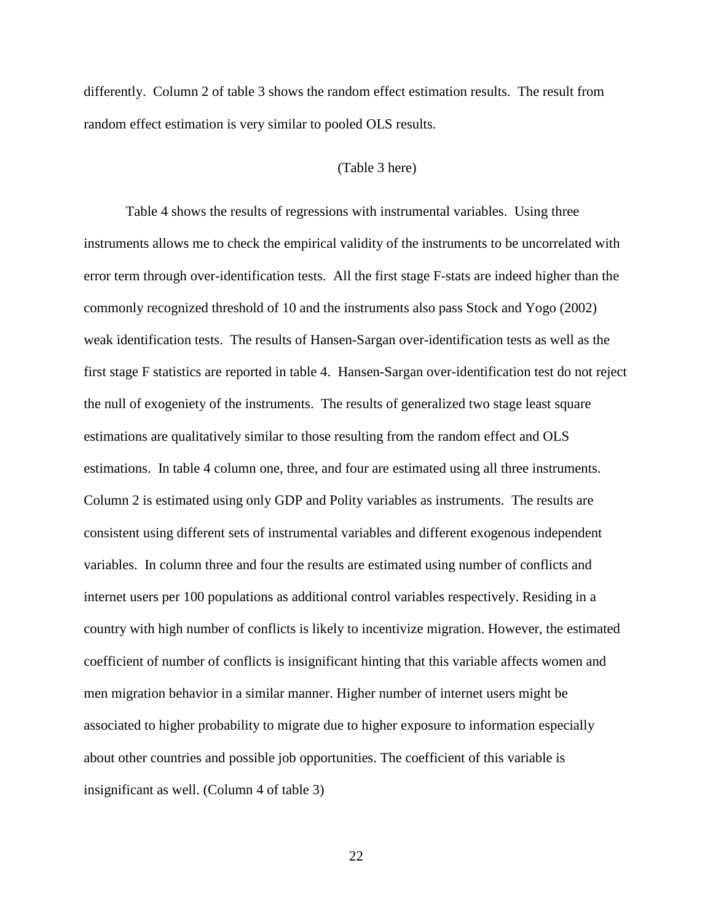differently. Column 2 of table 3 shows the random effect estimation results. The result from random effect estimation is very similar to pooled OLS results.

# (Table 3 here)

Table 4 shows the results of regressions with instrumental variables. Using three instruments allows me to check the empirical validity of the instruments to be uncorrelated with error term through over-identification tests. All the first stage F-stats are indeed higher than the commonly recognized threshold of 10 and the instruments also pass Stock and Yogo (2002) weak identification tests. The results of Hansen-Sargan over-identification tests as well as the first stage F statistics are reported in table 4. Hansen-Sargan over-identification test do not reject the null of exogeniety of the instruments. The results of generalized two stage least square estimations are qualitatively similar to those resulting from the random effect and OLS estimations. In table 4 column one, three, and four are estimated using all three instruments. Column 2 is estimated using only GDP and Polity variables as instruments. The results are consistent using different sets of instrumental variables and different exogenous independent variables. In column three and four the results are estimated using number of conflicts and internet users per 100 populations as additional control variables respectively. Residing in a country with high number of conflicts is likely to incentivize migration. However, the estimated coefficient of number of conflicts is insignificant hinting that this variable affects women and men migration behavior in a similar manner. Higher number of internet users might be associated to higher probability to migrate due to higher exposure to information especially about other countries and possible job opportunities. The coefficient of this variable is insignificant as well. (Column 4 of table 3)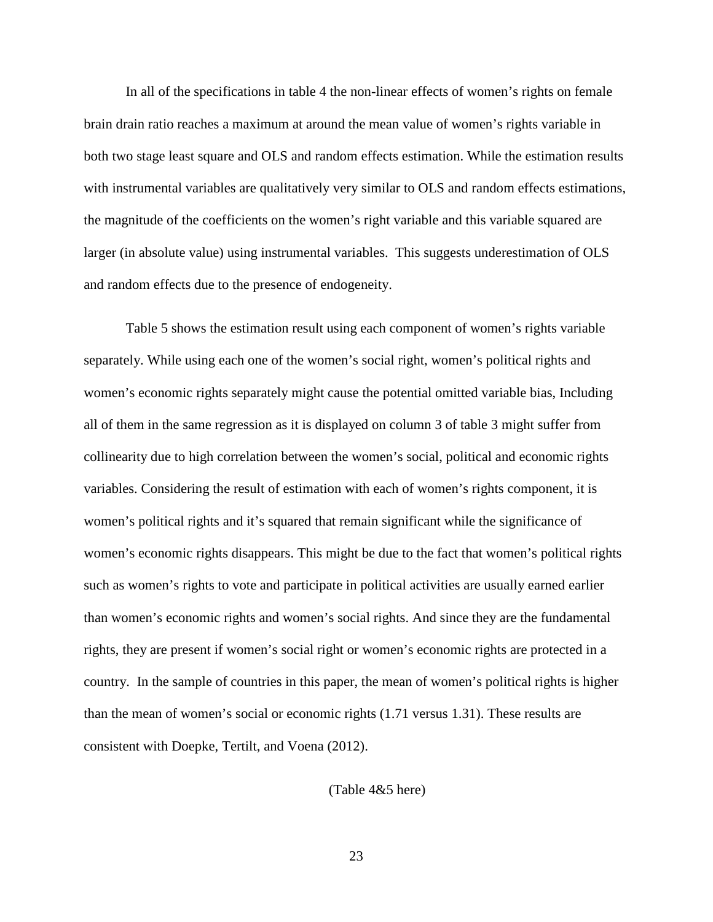In all of the specifications in table 4 the non-linear effects of women's rights on female brain drain ratio reaches a maximum at around the mean value of women's rights variable in both two stage least square and OLS and random effects estimation. While the estimation results with instrumental variables are qualitatively very similar to OLS and random effects estimations, the magnitude of the coefficients on the women's right variable and this variable squared are larger (in absolute value) using instrumental variables. This suggests underestimation of OLS and random effects due to the presence of endogeneity.

Table 5 shows the estimation result using each component of women's rights variable separately. While using each one of the women's social right, women's political rights and women's economic rights separately might cause the potential omitted variable bias, Including all of them in the same regression as it is displayed on column 3 of table 3 might suffer from collinearity due to high correlation between the women's social, political and economic rights variables. Considering the result of estimation with each of women's rights component, it is women's political rights and it's squared that remain significant while the significance of women's economic rights disappears. This might be due to the fact that women's political rights such as women's rights to vote and participate in political activities are usually earned earlier than women's economic rights and women's social rights. And since they are the fundamental rights, they are present if women's social right or women's economic rights are protected in a country. In the sample of countries in this paper, the mean of women's political rights is higher than the mean of women's social or economic rights (1.71 versus 1.31). These results are consistent with Doepke, Tertilt, and Voena (2012).

(Table 4&5 here)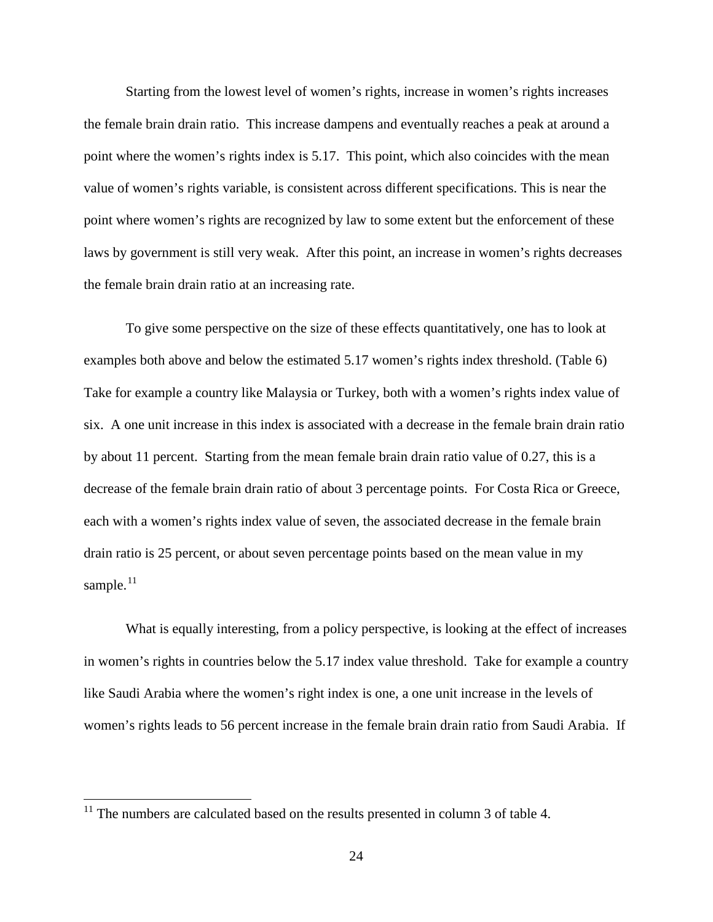Starting from the lowest level of women's rights, increase in women's rights increases the female brain drain ratio. This increase dampens and eventually reaches a peak at around a point where the women's rights index is 5.17. This point, which also coincides with the mean value of women's rights variable, is consistent across different specifications. This is near the point where women's rights are recognized by law to some extent but the enforcement of these laws by government is still very weak. After this point, an increase in women's rights decreases the female brain drain ratio at an increasing rate.

To give some perspective on the size of these effects quantitatively, one has to look at examples both above and below the estimated 5.17 women's rights index threshold. (Table 6) Take for example a country like Malaysia or Turkey, both with a women's rights index value of six. A one unit increase in this index is associated with a decrease in the female brain drain ratio by about 11 percent. Starting from the mean female brain drain ratio value of 0.27, this is a decrease of the female brain drain ratio of about 3 percentage points. For Costa Rica or Greece, each with a women's rights index value of seven, the associated decrease in the female brain drain ratio is 25 percent, or about seven percentage points based on the mean value in my sample.<sup>[11](#page-16-0)</sup>

What is equally interesting, from a policy perspective, is looking at the effect of increases in women's rights in countries below the 5.17 index value threshold. Take for example a country like Saudi Arabia where the women's right index is one, a one unit increase in the levels of women's rights leads to 56 percent increase in the female brain drain ratio from Saudi Arabia. If

 $11$  The numbers are calculated based on the results presented in column 3 of table 4.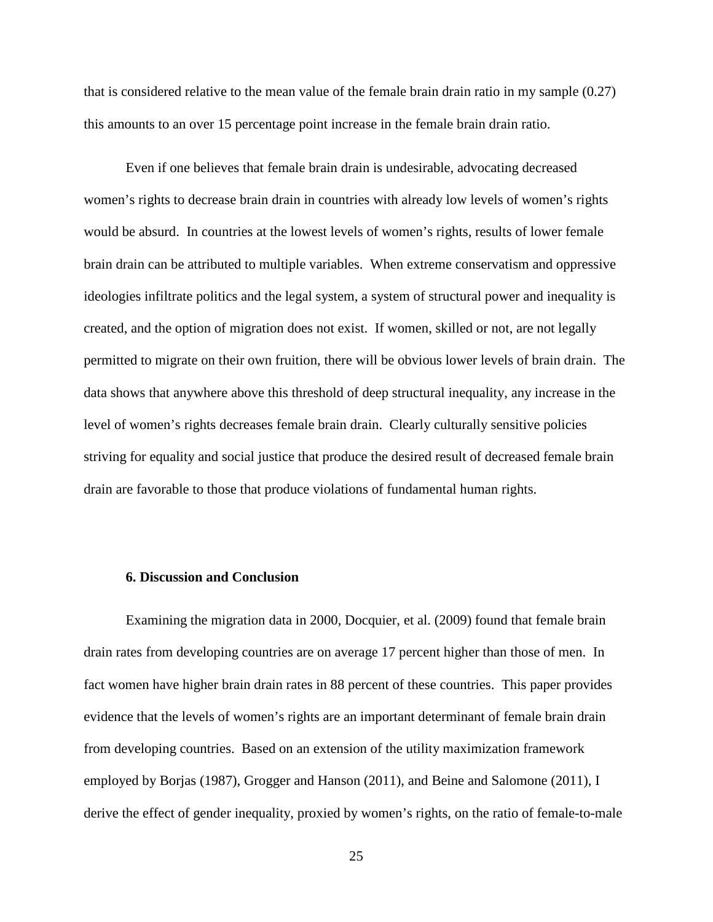that is considered relative to the mean value of the female brain drain ratio in my sample (0.27) this amounts to an over 15 percentage point increase in the female brain drain ratio.

Even if one believes that female brain drain is undesirable, advocating decreased women's rights to decrease brain drain in countries with already low levels of women's rights would be absurd. In countries at the lowest levels of women's rights, results of lower female brain drain can be attributed to multiple variables. When extreme conservatism and oppressive ideologies infiltrate politics and the legal system, a system of structural power and inequality is created, and the option of migration does not exist. If women, skilled or not, are not legally permitted to migrate on their own fruition, there will be obvious lower levels of brain drain. The data shows that anywhere above this threshold of deep structural inequality, any increase in the level of women's rights decreases female brain drain. Clearly culturally sensitive policies striving for equality and social justice that produce the desired result of decreased female brain drain are favorable to those that produce violations of fundamental human rights.

## **6. Discussion and Conclusion**

Examining the migration data in 2000, Docquier, et al. (2009) found that female brain drain rates from developing countries are on average 17 percent higher than those of men. In fact women have higher brain drain rates in 88 percent of these countries. This paper provides evidence that the levels of women's rights are an important determinant of female brain drain from developing countries. Based on an extension of the utility maximization framework employed by Borjas (1987), Grogger and Hanson (2011), and Beine and Salomone (2011), I derive the effect of gender inequality, proxied by women's rights, on the ratio of female-to-male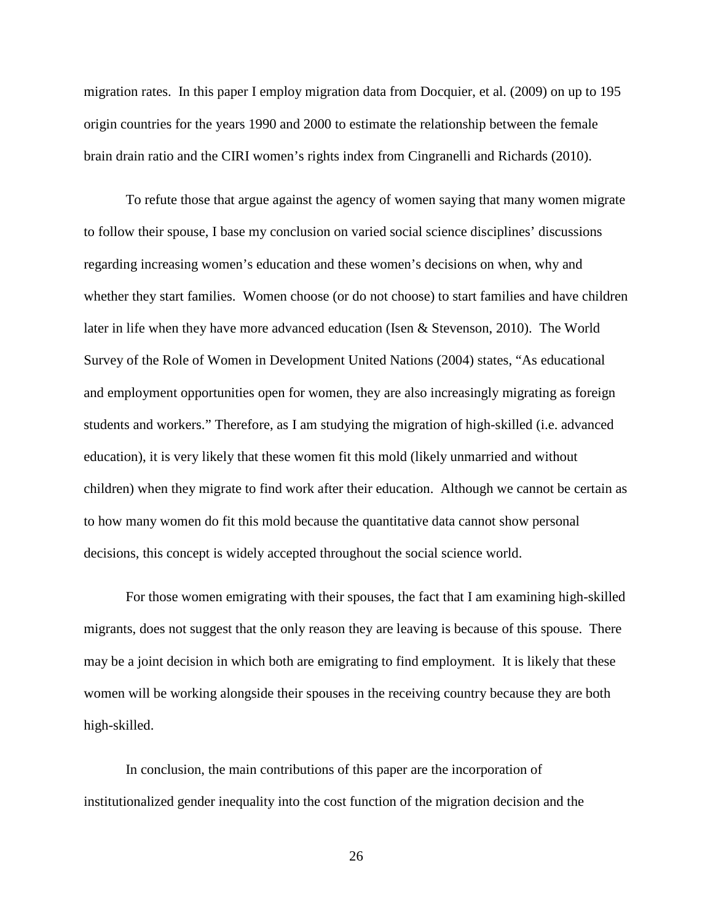migration rates. In this paper I employ migration data from Docquier, et al. (2009) on up to 195 origin countries for the years 1990 and 2000 to estimate the relationship between the female brain drain ratio and the CIRI women's rights index from [Cingranelli and Richards \(2010\)](#page-29-3).

To refute those that argue against the agency of women saying that many women migrate to follow their spouse, I base my conclusion on varied social science disciplines' discussions regarding increasing women's education and these women's decisions on when, why and whether they start families. Women choose (or do not choose) to start families and have children later in life when they have more advanced education (Isen & [Stevenson,](#page-31-2) 2010). The World Survey of the Role of Women in Development [United Nations \(2004\)](#page-32-2) states, "As educational and employment opportunities open for women, they are also increasingly migrating as foreign students and workers." Therefore, as I am studying the migration of high-skilled (i.e. advanced education), it is very likely that these women fit this mold (likely unmarried and without children) when they migrate to find work after their education. Although we cannot be certain as to how many women do fit this mold because the quantitative data cannot show personal decisions, this concept is widely accepted throughout the social science world.

For those women emigrating with their spouses, the fact that I am examining high-skilled migrants, does not suggest that the only reason they are leaving is because of this spouse. There may be a joint decision in which both are emigrating to find employment. It is likely that these women will be working alongside their spouses in the receiving country because they are both high-skilled.

In conclusion, the main contributions of this paper are the incorporation of institutionalized gender inequality into the cost function of the migration decision and the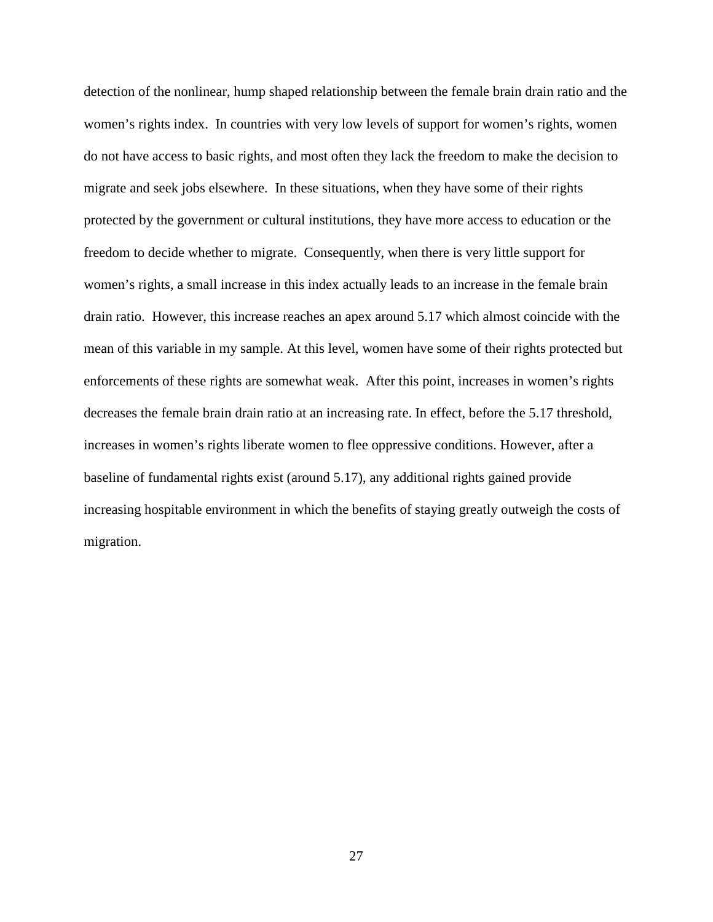detection of the nonlinear, hump shaped relationship between the female brain drain ratio and the women's rights index. In countries with very low levels of support for women's rights, women do not have access to basic rights, and most often they lack the freedom to make the decision to migrate and seek jobs elsewhere. In these situations, when they have some of their rights protected by the government or cultural institutions, they have more access to education or the freedom to decide whether to migrate. Consequently, when there is very little support for women's rights, a small increase in this index actually leads to an increase in the female brain drain ratio. However, this increase reaches an apex around 5.17 which almost coincide with the mean of this variable in my sample. At this level, women have some of their rights protected but enforcements of these rights are somewhat weak. After this point, increases in women's rights decreases the female brain drain ratio at an increasing rate. In effect, before the 5.17 threshold, increases in women's rights liberate women to flee oppressive conditions. However, after a baseline of fundamental rights exist (around 5.17), any additional rights gained provide increasing hospitable environment in which the benefits of staying greatly outweigh the costs of migration.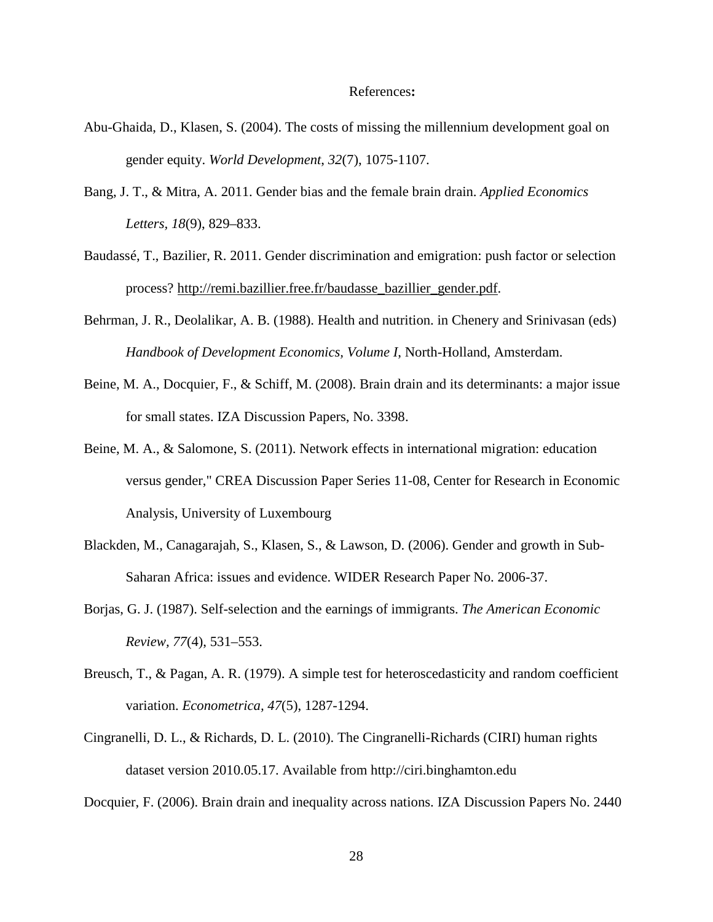#### References**:**

- Abu-Ghaida, D., Klasen, S. (2004). The costs of missing the millennium development goal on gender equity. *World Development*, *32*(7), 1075-1107.
- Bang, J. T., & Mitra, A. 2011. Gender bias and the female brain drain. *Applied Economics Letters, 18*(9), 829–833.
- Baudassé, T., Bazilier, R. 2011. Gender discrimination and emigration: push factor or selection process? [http://remi.bazillier.free.fr/baudasse\\_bazillier\\_gender.pdf.](http://remi.bazillier.free.fr/baudasse_bazillier_gender.pdf)
- Behrman, J. R., Deolalikar, A. B. (1988). Health and nutrition. in Chenery and Srinivasan (eds) *Handbook of Development Economics, Volume I*, North-Holland, Amsterdam.
- <span id="page-29-1"></span><span id="page-29-0"></span>Beine, M. A., Docquier, F., & Schiff, M. (2008). Brain drain and its determinants: a major issue for small states. IZA Discussion Papers, No. 3398.
- Beine, M. A., & Salomone, S. (2011). [Network effects in international migration: education](http://ideas.repec.org/p/luc/wpaper/11-08.html)  [versus gender,](http://ideas.repec.org/p/luc/wpaper/11-08.html)" [CREA Discussion Paper Series](http://ideas.repec.org/s/luc/wpaper.html) 11-08, Center for Research in Economic Analysis, University of Luxembourg
- Blackden, M., Canagarajah, S., Klasen, S., & Lawson, D. (2006). Gender and growth in Sub-Saharan Africa: issues and evidence. WIDER Research Paper No. 2006-37.
- <span id="page-29-4"></span>Borjas, G. J. (1987). Self-selection and the earnings of immigrants. *The American Economic Review, 77*(4), 531–553.
- Breusch, T., & Pagan, A. R. (1979). A simple test for heteroscedasticity and random coefficient variation. *Econometrica, 47*(5), 1287-1294.
- <span id="page-29-3"></span><span id="page-29-2"></span>Cingranelli, D. L., & Richards, D. L. (2010). The Cingranelli-Richards (CIRI) human rights dataset version 2010.05.17. Available from http://ciri.binghamton.edu

Docquier, F. (2006). Brain drain and inequality across nations. IZA Discussion Papers No. 2440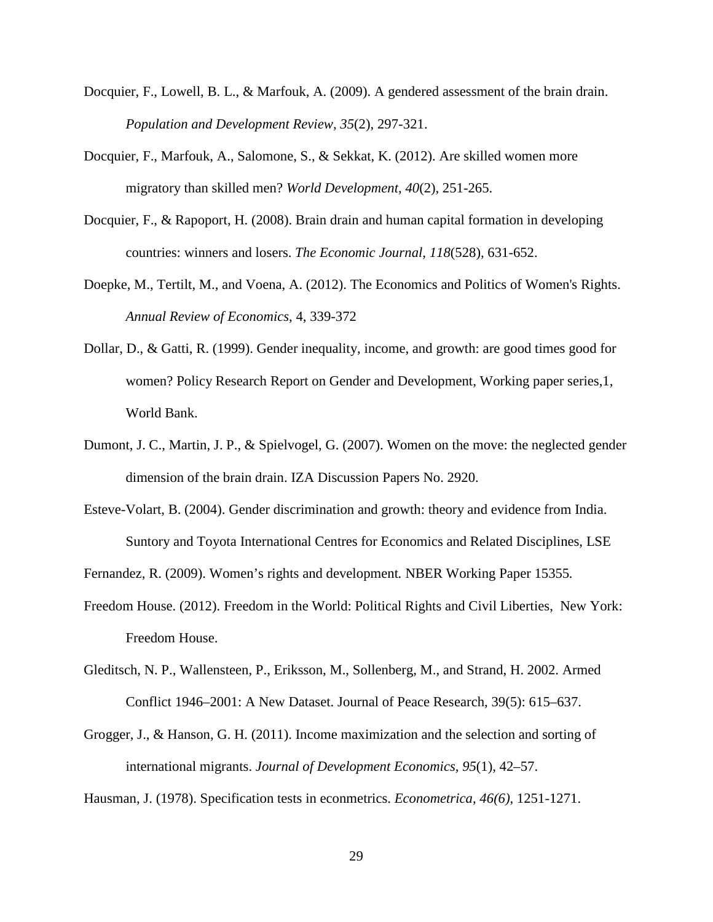- <span id="page-30-4"></span><span id="page-30-3"></span>Docquier, F., Lowell, B. L., & Marfouk, A. (2009). A gendered assessment of the brain drain. *Population and Development Review, 35*(2), 297-321.
- Docquier, F., Marfouk, A., Salomone, S., & Sekkat, K. (2012). Are skilled women more migratory than skilled men? *World Development, 40*(2), 251-265.
- <span id="page-30-2"></span>Docquier, F., & Rapoport, H. (2008). Brain drain and human capital formation in developing countries: winners and losers. *The Economic Journal, 118*(528)*,* 631-652.
- <span id="page-30-1"></span>Doepke, M., Tertilt, M., and Voena, A. (2012). The Economics and Politics of Women's Rights. *Annual Review of Economics*, 4, 339-372
- Dollar, D., & Gatti, R. (1999). Gender inequality, income, and growth: are good times good for women? Policy Research Report on Gender and Development, Working paper series,1, World Bank.
- <span id="page-30-0"></span>Dumont, J. C., Martin, J. P., & Spielvogel, G. (2007). Women on the move: the neglected gender dimension of the brain drain. IZA Discussion Papers No. 2920.
- Esteve-Volart, B. (2004). Gender discrimination and growth: theory and evidence from India. Suntory and Toyota International Centres for Economics and Related Disciplines, LSE

Fernandez, R. (2009). Women's rights and development*.* NBER Working Paper 15355*.*

- Freedom House. (2012). Freedom in the World: Political Rights and Civil Liberties, New York: Freedom House.
- Gleditsch, N. P., Wallensteen, P., Eriksson, M., Sollenberg, M., and Strand, H. 2002. Armed Conflict 1946–2001: A New Dataset. Journal of Peace Research, 39(5): 615–637.
- Grogger, J., & Hanson, G. H. (2011). Income maximization and the selection and sorting of international migrants. *Journal of Development Economics, 95*(1)*,* 42–57.

Hausman, J. (1978). Specification tests in econmetrics. *Econometrica, 46(6)*, 1251-1271.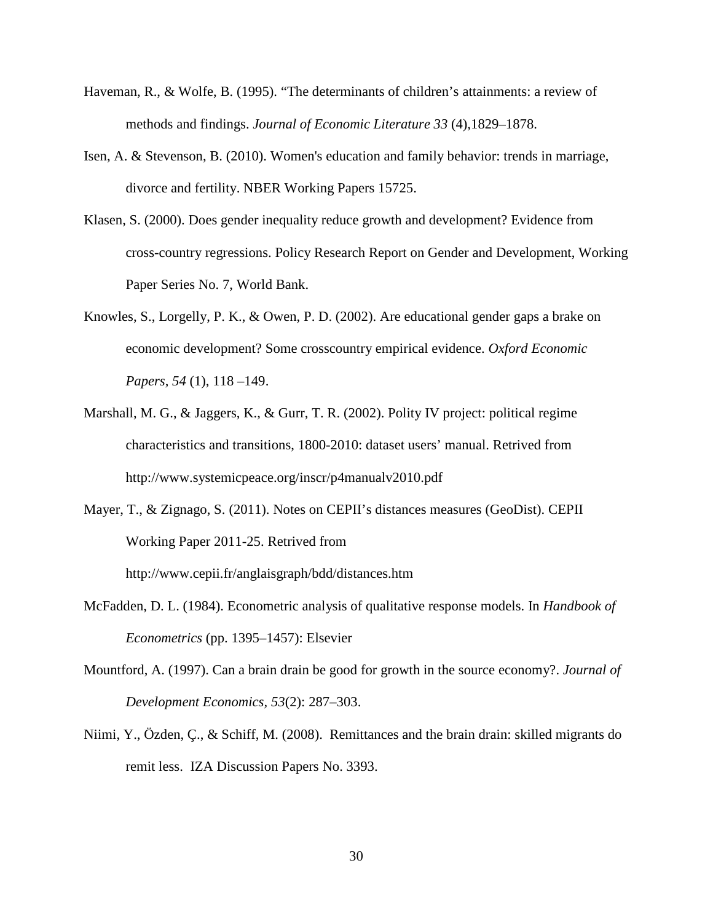- <span id="page-31-2"></span>Haveman, R., & Wolfe, B. (1995). "The determinants of children's attainments: a review of methods and findings. *Journal of Economic Literature 33* (4)*,*1829–1878.
- <span id="page-31-0"></span>Isen, A. & Stevenson, B. (2010). Women's education and family behavior: trends in marriage, divorce and fertility. NBER Working Papers 15725.
- Klasen, S. (2000). Does gender inequality reduce growth and development? Evidence from cross-country regressions. Policy Research Report on Gender and Development, Working Paper Series No. 7, World Bank.
- <span id="page-31-1"></span>Knowles, S., Lorgelly, P. K., & Owen, P. D. (2002). Are educational gender gaps a brake on economic development? Some crosscountry empirical evidence. *Oxford Economic Papers, 54* (1), 118 –149.
- Marshall, M. G., & Jaggers, K., & Gurr, T. R. (2002). Polity IV project: political regime characteristics and transitions, 1800-2010: dataset users' manual. Retrived from http://www.systemicpeace.org/inscr/p4manualv2010.pdf
- Mayer, T., & Zignago, S. (2011). Notes on CEPII's distances measures (GeoDist). CEPII Working Paper 2011-25. [Retrived from](http://www.cepii.fr/anglaisgraph/workpap/summaries/wp_resume.asp?annee=2011&ref=25&NoDoc=3877)  [http://www.cepii.fr/anglaisgraph/bdd/distances.htm](http://www.cepii.fr/anglaisgraph/workpap/summaries/wp_resume.asp?annee=2011&ref=25&NoDoc=3877)
- McFadden, D. L. (1984). Econometric analysis of qualitative response models. In *Handbook of Econometrics* (pp. 1395–1457): Elsevier
- Mountford, A. (1997). Can a brain drain be good for growth in the source economy?. *Journal of Development Economics, 53*(2): 287–303.
- Niimi, Y., Özden, Ç., & Schiff, M. (2008). Remittances and the brain drain: skilled migrants do remit less. IZA Discussion Papers No. 3393.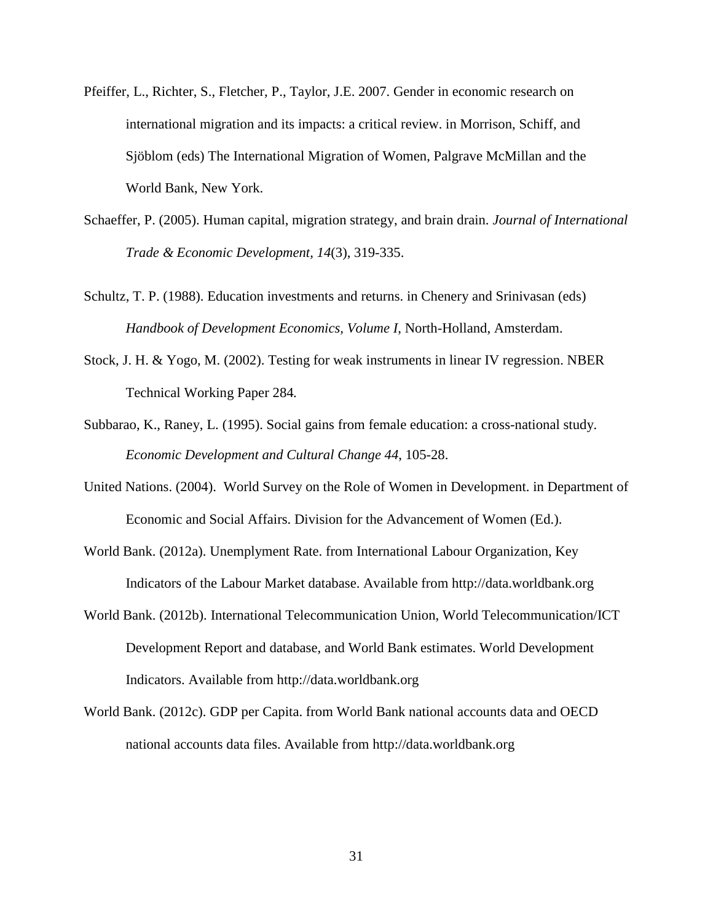- Pfeiffer, L., Richter, S., Fletcher, P., Taylor, J.E. 2007. Gender in economic research on international migration and its impacts: a critical review. in Morrison, Schiff, and Sjöblom (eds) The International Migration of Women, Palgrave McMillan and the World Bank, New York.
- Schaeffer, P. (2005). Human capital, migration strategy, and brain drain. *Journal of International Trade & Economic Development, 14*(3), 319-335.
- Schultz, T. P. (1988). Education investments and returns. in Chenery and Srinivasan (eds) *Handbook of Development Economics, Volume I*, North-Holland, Amsterdam.
- Stock, J. H. & Yogo, M. (2002). Testing for weak instruments in linear IV regression. NBER Technical Working Paper 284*.*
- Subbarao, K., Raney, L. (1995). Social gains from female education: a cross-national study. *Economic Development and Cultural Change 44*, 105-28.
- <span id="page-32-2"></span><span id="page-32-1"></span>United Nations. (2004). World Survey on the Role of Women in Development. in Department of Economic and Social Affairs. Division for the Advancement of Women (Ed.).
- <span id="page-32-0"></span>World Bank. (2012a). Unemplyment Rate. from International Labour Organization, Key Indicators of the Labour Market database. Available from http://data.worldbank.org
- World Bank. (2012b). International Telecommunication Union, World Telecommunication/ICT Development Report and database, and World Bank estimates. World Development Indicators. Available from http://data.worldbank.org
- World Bank. (2012c). GDP per Capita. from World Bank national accounts data and OECD national accounts data files. Available from http://data.worldbank.org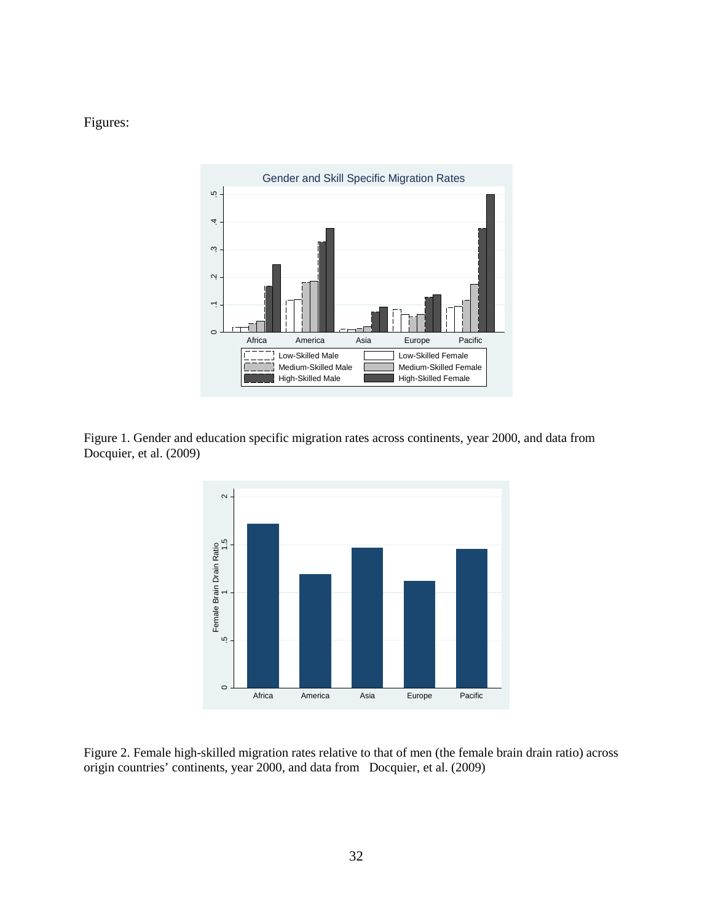Figures:



Figure 1. Gender and education specific migration rates across continents, year 2000, and data from Docquier, et al. (2009)



Figure 2. Female high-skilled migration rates relative to that of men (the female brain drain ratio) across origin countries' continents, year 2000, and data from Docquier, et al. (2009)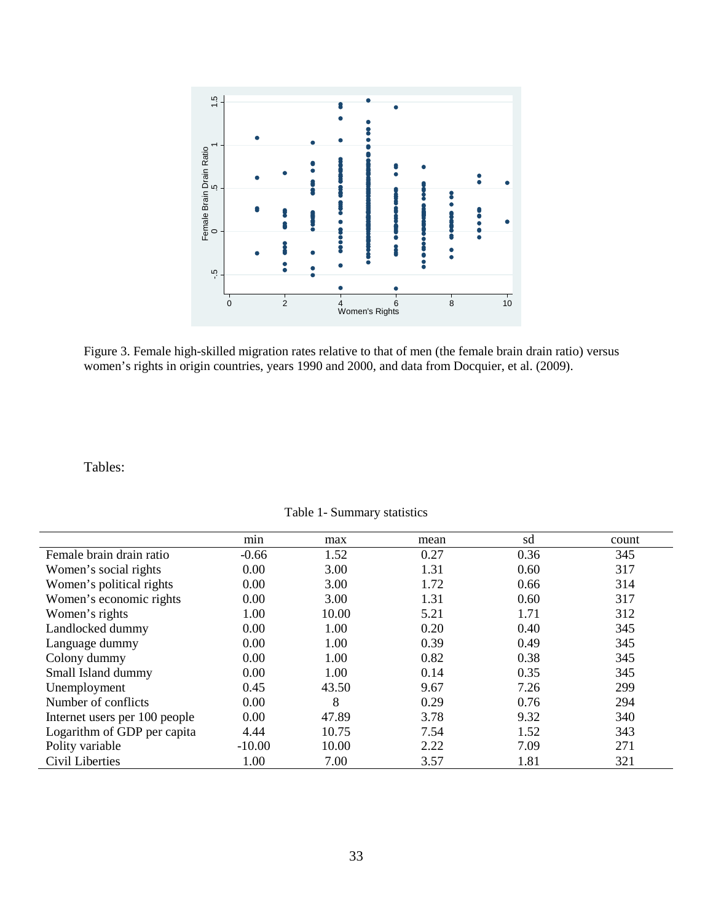

Figure 3. Female high-skilled migration rates relative to that of men (the female brain drain ratio) versus women's rights in origin countries, years 1990 and 2000, and data from Docquier, et al. (2009).

|                                                                                                             | $\frac{15}{1}$                |                             |             |      |       |
|-------------------------------------------------------------------------------------------------------------|-------------------------------|-----------------------------|-------------|------|-------|
|                                                                                                             |                               |                             |             |      |       |
|                                                                                                             |                               |                             |             |      |       |
|                                                                                                             |                               |                             |             |      |       |
|                                                                                                             |                               |                             |             |      |       |
|                                                                                                             |                               |                             |             |      |       |
|                                                                                                             |                               |                             |             |      |       |
|                                                                                                             | Female Brain Drain Ratio<br>0 |                             |             |      |       |
|                                                                                                             |                               |                             |             |      |       |
|                                                                                                             |                               | å                           |             |      |       |
|                                                                                                             |                               |                             |             |      |       |
|                                                                                                             | م.<br>م                       |                             |             |      |       |
|                                                                                                             |                               |                             |             |      |       |
|                                                                                                             | $\overline{2}$<br>$\mathbf 0$ | 4                           | $\bf8$<br>6 | 10   |       |
|                                                                                                             |                               | Women's Rights              |             |      |       |
|                                                                                                             |                               |                             |             |      |       |
|                                                                                                             |                               |                             |             |      |       |
| Figure 3. Female high-skilled migration rates relative to that of men (the female brain drain ratio) versus |                               |                             |             |      |       |
| women's rights in origin countries, years 1990 and 2000, and data from Docquier, et al. (2009).             |                               |                             |             |      |       |
|                                                                                                             |                               |                             |             |      |       |
|                                                                                                             |                               |                             |             |      |       |
|                                                                                                             |                               |                             |             |      |       |
|                                                                                                             |                               |                             |             |      |       |
|                                                                                                             |                               |                             |             |      |       |
|                                                                                                             |                               |                             |             |      |       |
| Tables:                                                                                                     |                               |                             |             |      |       |
|                                                                                                             |                               |                             |             |      |       |
|                                                                                                             |                               |                             |             |      |       |
|                                                                                                             |                               | Table 1- Summary statistics |             |      |       |
|                                                                                                             |                               |                             |             |      |       |
|                                                                                                             | min                           | max                         | mean        | sd   | count |
| Female brain drain ratio                                                                                    | $-0.66$                       | 1.52                        | 0.27        | 0.36 | 345   |
| Women's social rights                                                                                       | 0.00                          | 3.00                        | 1.31        | 0.60 | 317   |
| Women's political rights                                                                                    | 0.00                          | 3.00                        | 1.72        | 0.66 | 314   |
| Women's economic rights                                                                                     | 0.00                          | 3.00                        | 1.31        | 0.60 | 317   |
| Women's rights                                                                                              | 1.00                          | 10.00                       | 5.21        | 1.71 | 312   |
| Landlocked dummy                                                                                            | 0.00                          | 1.00                        | 0.20        | 0.40 | 345   |
|                                                                                                             | 0.00                          |                             | 0.39        | 0.49 | 345   |
| Language dummy                                                                                              |                               | 1.00                        |             |      |       |
| Colony dummy                                                                                                | 0.00                          | 1.00                        | 0.82        | 0.38 | 345   |
| Small Island dummy                                                                                          | 0.00                          | 1.00                        | 0.14        | 0.35 | 345   |
| Unemployment                                                                                                | 0.45                          | 43.50                       | 9.67        | 7.26 | 299   |
| Number of conflicts                                                                                         | 0.00                          | 8                           | 0.29        | 0.76 | 294   |
| Internet users per 100 people                                                                               | 0.00                          | 47.89                       | 3.78        | 9.32 | 340   |
| Logarithm of GDP per capita                                                                                 | 4.44                          | 10.75                       | 7.54        | 1.52 | 343   |
| Polity variable                                                                                             | $-10.00$                      | 10.00                       | 2.22        | 7.09 | 271   |
| Civil Liberties                                                                                             | 1.00                          | 7.00                        | 3.57        | 1.81 | 321   |

Table 1- Summary statistics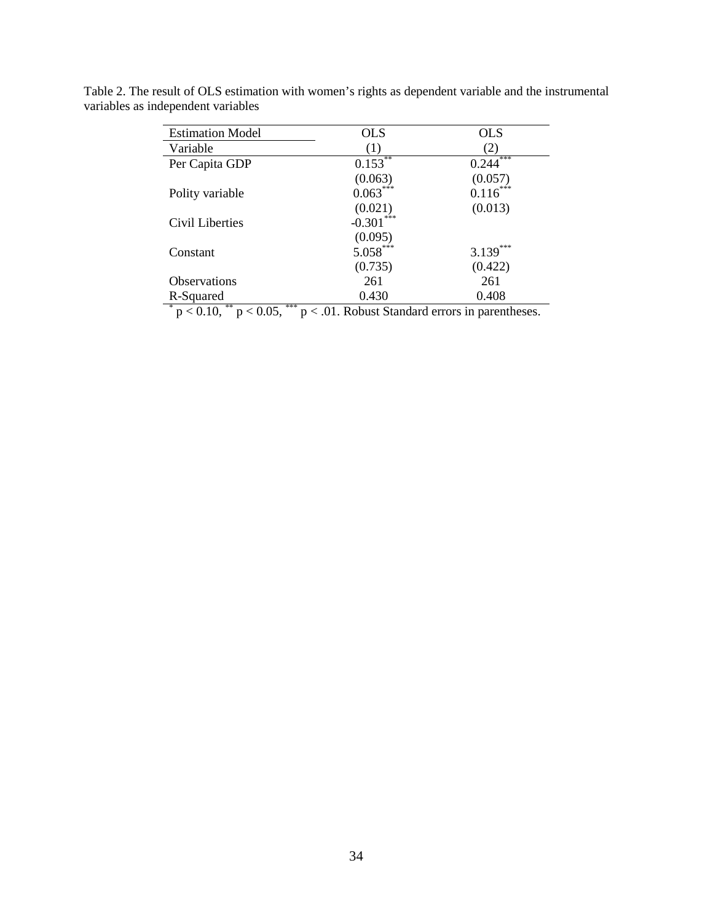| <b>Estimation Model</b>                             | <b>OLS</b>                                                                                                                                                                                                                                                                                                                                                                    | <b>OLS</b>        |
|-----------------------------------------------------|-------------------------------------------------------------------------------------------------------------------------------------------------------------------------------------------------------------------------------------------------------------------------------------------------------------------------------------------------------------------------------|-------------------|
| Variable                                            | (1)                                                                                                                                                                                                                                                                                                                                                                           |                   |
| Per Capita GDP                                      | **<br>0.153                                                                                                                                                                                                                                                                                                                                                                   | ***<br>0.244      |
|                                                     | (0.063)                                                                                                                                                                                                                                                                                                                                                                       | (0.057)           |
| Polity variable                                     | $0.063***$                                                                                                                                                                                                                                                                                                                                                                    | $0.116***$        |
|                                                     | (0.021)                                                                                                                                                                                                                                                                                                                                                                       | (0.013)           |
| Civil Liberties                                     | $-0.301$                                                                                                                                                                                                                                                                                                                                                                      |                   |
|                                                     | (0.095)                                                                                                                                                                                                                                                                                                                                                                       |                   |
| Constant                                            | $5.058***$                                                                                                                                                                                                                                                                                                                                                                    | $3.139***$        |
|                                                     | (0.735)                                                                                                                                                                                                                                                                                                                                                                       | (0.422)           |
| <b>Observations</b>                                 | 261                                                                                                                                                                                                                                                                                                                                                                           | 261               |
| R-Squared                                           | 0.430                                                                                                                                                                                                                                                                                                                                                                         | 0.408             |
| *<br>***<br>**<br>$\sim$ 10<br>$\sim$ $\sim$ $\sim$ | $\alpha$ + $\alpha$ + $\alpha$ + $\alpha$ + $\alpha$ + $\alpha$ + $\alpha$ + $\alpha$ + $\alpha$ + $\alpha$ + $\alpha$ + $\alpha$ + $\alpha$ + $\alpha$ + $\alpha$ + $\alpha$ + $\alpha$ + $\alpha$ + $\alpha$ + $\alpha$ + $\alpha$ + $\alpha$ + $\alpha$ + $\alpha$ + $\alpha$ + $\alpha$ + $\alpha$ + $\alpha$ + $\alpha$ + $\alpha$ + $\alpha$ + $\alpha$<br>$\mathbf{I}$ | $\sim$ 100 $\sim$ |

Table 2. The result of OLS estimation with women's rights as dependent variable and the instrumental variables as independent variables

 $p < 0.10$ ,  $p < 0.05$ ,  $p < 0.05$ ,  $p < 0.01$ . Robust Standard errors in parentheses.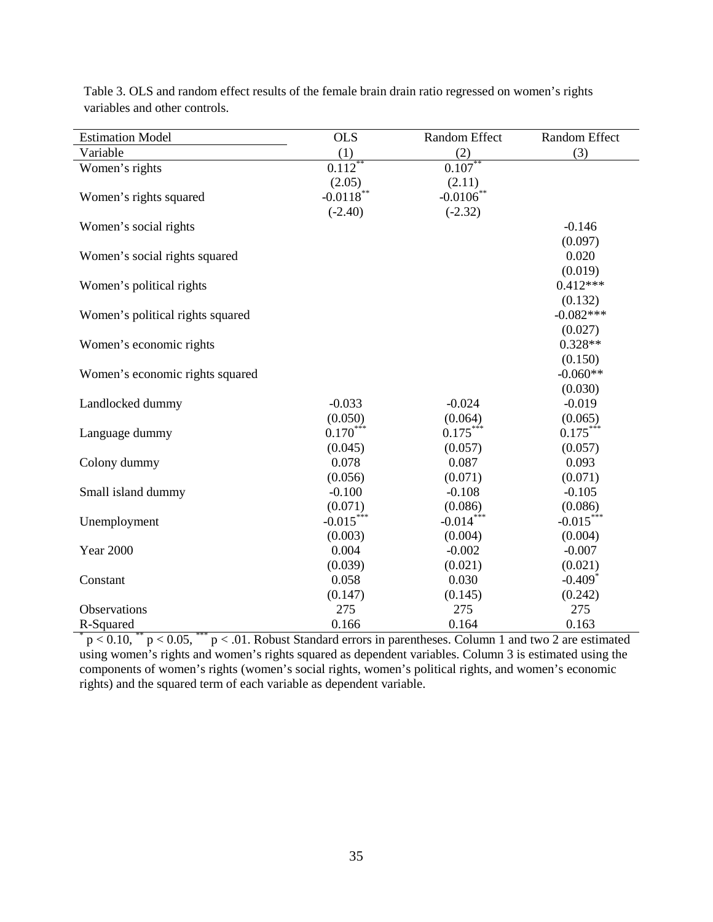| <b>Estimation Model</b>          | <b>OLS</b>   | Random Effect | Random Effect         |
|----------------------------------|--------------|---------------|-----------------------|
| Variable                         | (1)          | (2)           | (3)                   |
| Women's rights                   | $0.112***$   | $0.107**$     |                       |
|                                  | (2.05)       | (2.11)        |                       |
| Women's rights squared           | $-0.0118$ ** | $-0.0106$ *   |                       |
|                                  | $(-2.40)$    | $(-2.32)$     |                       |
| Women's social rights            |              |               | $-0.146$              |
|                                  |              |               | (0.097)               |
| Women's social rights squared    |              |               | 0.020                 |
|                                  |              |               | (0.019)               |
| Women's political rights         |              |               | $0.412***$            |
|                                  |              |               | (0.132)               |
| Women's political rights squared |              |               | $-0.082***$           |
|                                  |              |               | (0.027)               |
| Women's economic rights          |              |               | $0.328**$             |
|                                  |              |               | (0.150)               |
| Women's economic rights squared  |              |               | $-0.060**$            |
|                                  |              |               | (0.030)               |
| Landlocked dummy                 | $-0.033$     | $-0.024$      | $-0.019$              |
|                                  | (0.050)      | (0.064)       | (0.065)               |
| Language dummy                   | $0.170***$   | $0.175***$    | $0.175***$            |
|                                  | (0.045)      | (0.057)       | (0.057)               |
| Colony dummy                     | 0.078        | 0.087         | 0.093                 |
|                                  | (0.056)      | (0.071)       | (0.071)               |
| Small island dummy               | $-0.100$     | $-0.108$      | $-0.105$              |
|                                  | (0.071)      | (0.086)       | (0.086)               |
| Unemployment                     | $-0.015***$  | $-0.014***$   | $-0.015***$           |
|                                  | (0.003)      | (0.004)       | (0.004)               |
| <b>Year 2000</b>                 | 0.004        | $-0.002$      | $-0.007$              |
|                                  | (0.039)      | (0.021)       | (0.021)               |
| Constant                         | 0.058        | 0.030         | $-0.409$ <sup>*</sup> |
|                                  | (0.147)      | (0.145)       | (0.242)               |
| Observations                     | 275          | 275           | 275                   |
| R-Squared                        | 0.166        | 0.164         | 0.163                 |

Table 3. OLS and random effect results of the female brain drain ratio regressed on women's rights variables and other controls.

 $p < 0.10$ , \*\*  $p < 0.05$ , \*\*\*  $p < 0.01$ . Robust Standard errors in parentheses. Column 1 and two 2 are estimated using women's rights and women's rights squared as dependent variables. Column 3 is estimated using the components of women's rights (women's social rights, women's political rights, and women's economic rights) and the squared term of each variable as dependent variable.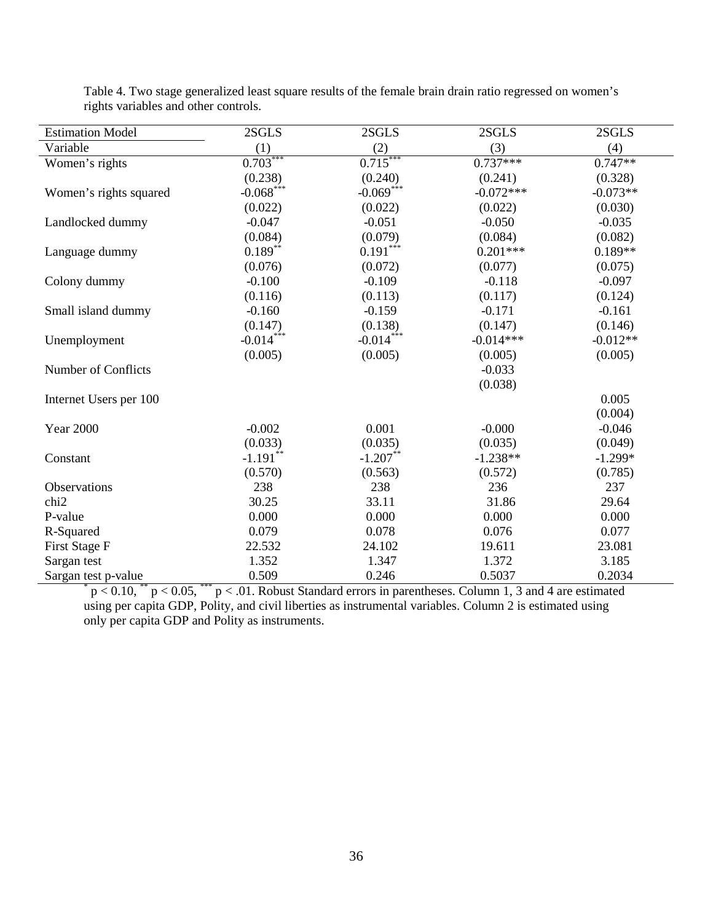| <b>Estimation Model</b> | 2SGLS                   | $2SGLS$     | 2SGLS       | 2SGLS      |
|-------------------------|-------------------------|-------------|-------------|------------|
| Variable                | (1)                     | (2)         | (3)         | (4)        |
| Women's rights          | $0.703***$              | $0.715***$  | $0.737***$  | $0.747**$  |
|                         | (0.238)                 | (0.240)     | (0.241)     | (0.328)    |
| Women's rights squared  | $-0.068$ <sup>***</sup> | $-0.069***$ | $-0.072***$ | $-0.073**$ |
|                         | (0.022)                 | (0.022)     | (0.022)     | (0.030)    |
| Landlocked dummy        | $-0.047$                | $-0.051$    | $-0.050$    | $-0.035$   |
|                         | (0.084)                 | (0.079)     | (0.084)     | (0.082)    |
| Language dummy          | $0.189***$              | $0.191***$  | $0.201***$  | $0.189**$  |
|                         | (0.076)                 | (0.072)     | (0.077)     | (0.075)    |
| Colony dummy            | $-0.100$                | $-0.109$    | $-0.118$    | $-0.097$   |
|                         | (0.116)                 | (0.113)     | (0.117)     | (0.124)    |
| Small island dummy      | $-0.160$                | $-0.159$    | $-0.171$    | $-0.161$   |
|                         | (0.147)                 | (0.138)     | (0.147)     | (0.146)    |
| Unemployment            | $-0.014***$             | $-0.014***$ | $-0.014***$ | $-0.012**$ |
|                         | (0.005)                 | (0.005)     | (0.005)     | (0.005)    |
| Number of Conflicts     |                         |             | $-0.033$    |            |
|                         |                         |             | (0.038)     |            |
| Internet Users per 100  |                         |             |             | 0.005      |
|                         |                         |             |             | (0.004)    |
| <b>Year 2000</b>        | $-0.002$                | 0.001       | $-0.000$    | $-0.046$   |
|                         | (0.033)                 | (0.035)     | (0.035)     | (0.049)    |
| Constant                | $-1.191$ **             | $-1.207$ ** | $-1.238**$  | $-1.299*$  |
|                         | (0.570)                 | (0.563)     | (0.572)     | (0.785)    |
| Observations            | 238                     | 238         | 236         | 237        |
| chi <sub>2</sub>        | 30.25                   | 33.11       | 31.86       | 29.64      |
| P-value                 | 0.000                   | 0.000       | 0.000       | 0.000      |
| R-Squared               | 0.079                   | 0.078       | 0.076       | 0.077      |
| First Stage F           | 22.532                  | 24.102      | 19.611      | 23.081     |
| Sargan test             | 1.352                   | 1.347       | 1.372       | 3.185      |
| Sargan test p-value     | 0.509                   | 0.246       | 0.5037      | 0.2034     |

Table 4. Two stage generalized least square results of the female brain drain ratio regressed on women's rights variables and other controls.

 $p < 0.10$ ,  $p < 0.05$ ,  $p < 0.05$ ,  $p < 0.01$ . Robust Standard errors in parentheses. Column 1, 3 and 4 are estimated using per capita GDP, Polity, and civil liberties as instrumental variables. Column 2 is estimated using only per capita GDP and Polity as instruments.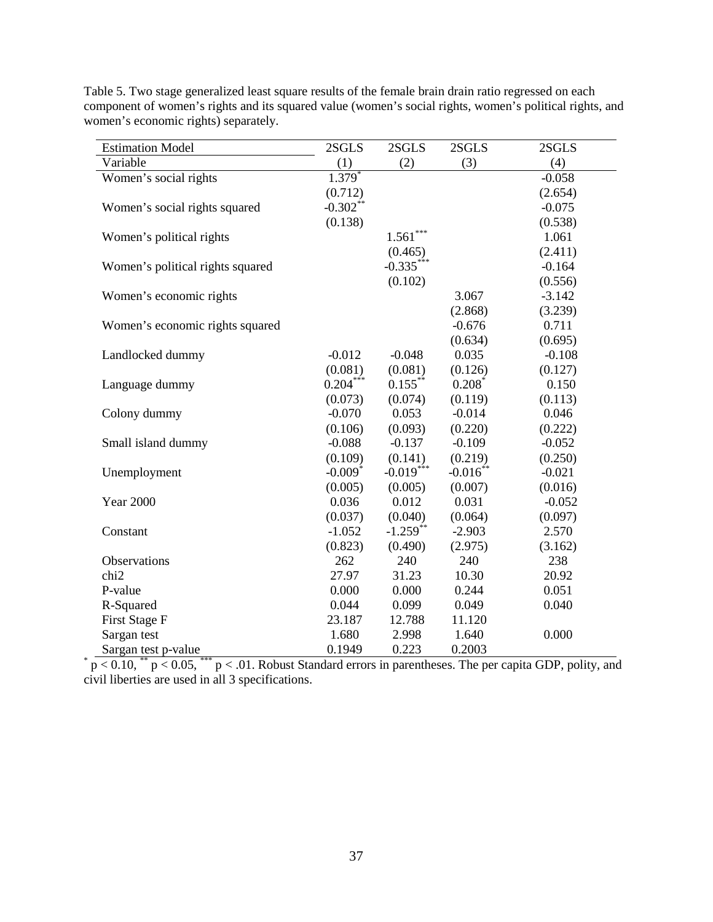| <b>Estimation Model</b>          | 2SGLS                 | 2SGLS       | 2SGLS       | 2SGLS    |
|----------------------------------|-----------------------|-------------|-------------|----------|
| Variable                         | (1)                   | (2)         | (3)         | (4)      |
| Women's social rights            | $1.379^{*}$           |             |             | $-0.058$ |
|                                  | (0.712)               |             |             | (2.654)  |
| Women's social rights squared    | $-0.302$ **           |             |             | $-0.075$ |
|                                  | (0.138)               |             |             | (0.538)  |
| Women's political rights         |                       | $1.561***$  |             | 1.061    |
|                                  |                       | (0.465)     |             | (2.411)  |
| Women's political rights squared |                       | $-0.335***$ |             | $-0.164$ |
|                                  |                       | (0.102)     |             | (0.556)  |
| Women's economic rights          |                       |             | 3.067       | $-3.142$ |
|                                  |                       |             | (2.868)     | (3.239)  |
| Women's economic rights squared  |                       |             | $-0.676$    | 0.711    |
|                                  |                       |             | (0.634)     | (0.695)  |
| Landlocked dummy                 | $-0.012$              | $-0.048$    | 0.035       | $-0.108$ |
|                                  | (0.081)               | (0.081)     | (0.126)     | (0.127)  |
| Language dummy                   | $0.204***$            | $0.155***$  | $0.208*$    | 0.150    |
|                                  | (0.073)               | (0.074)     | (0.119)     | (0.113)  |
| Colony dummy                     | $-0.070$              | 0.053       | $-0.014$    | 0.046    |
|                                  | (0.106)               | (0.093)     | (0.220)     | (0.222)  |
| Small island dummy               | $-0.088$              | $-0.137$    | $-0.109$    | $-0.052$ |
|                                  | (0.109)               | (0.141)     | (0.219)     | (0.250)  |
| Unemployment                     | $-0.009$ <sup>*</sup> | $-0.019***$ | $-0.016$ ** | $-0.021$ |
|                                  | (0.005)               | (0.005)     | (0.007)     | (0.016)  |
| <b>Year 2000</b>                 | 0.036                 | 0.012       | 0.031       | $-0.052$ |
|                                  | (0.037)               | (0.040)     | (0.064)     | (0.097)  |
| Constant                         | $-1.052$              | $-1.259$ ** | $-2.903$    | 2.570    |
|                                  | (0.823)               | (0.490)     | (2.975)     | (3.162)  |
| Observations                     | 262                   | 240         | 240         | 238      |
| chi <sub>2</sub>                 | 27.97                 | 31.23       | 10.30       | 20.92    |
| P-value                          | 0.000                 | 0.000       | 0.244       | 0.051    |
| R-Squared                        | 0.044                 | 0.099       | 0.049       | 0.040    |
| First Stage F                    | 23.187                | 12.788      | 11.120      |          |
| Sargan test                      | 1.680                 | 2.998       | 1.640       | 0.000    |
| Sargan test p-value              | 0.1949                | 0.223       | 0.2003      |          |

Table 5. Two stage generalized least square results of the female brain drain ratio regressed on each component of women's rights and its squared value (women's social rights, women's political rights, and women's economic rights) separately.

 $*$  p < 0.10,  $*$  p < 0.05,  $*$  p < .01. Robust Standard errors in parentheses. The per capita GDP, polity, and civil liberties are used in all 3 specifications.